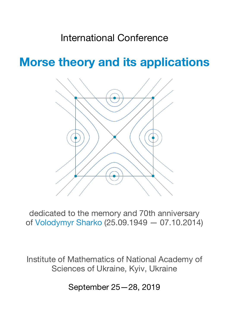# International Conference

**Morse theory and its applications**



dedicated to the memory and 70th anniversary of Volodymyr Sharko (25.09.1949 — 07.10.2014)

Institute of Mathematics of National Academy of Sciences of Ukraine, Kyiv, Ukraine

September 25—28, 2019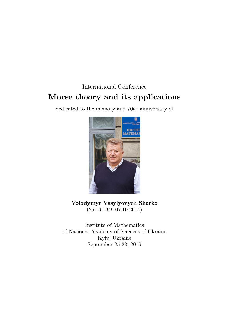# International Conference **Morse theory and its applications**

dedicated to the memory and 70th anniversary of



**Volodymyr Vasylyovych Sharko** (25.09.1949-07.10.2014)

Institute of Mathematics of National Academy of Sciences of Ukraine Kyiv, Ukraine September 25-28, 2019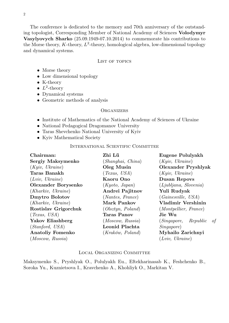The conference is dedicated to the memory and 70th anniversary of the outstanding topologist, Corresponding Member of National Academy of Sciences **Volodymyr Vasylyovych Sharko** (25.09.1949-07.10.2014) to commemorate his contributions to the Morse theory,  $K$ -theory,  $L^2$ -theory, homological algebra, low-dimensional topology and dynamical systems.

#### LIST OF TOPICS

- Morse theory
- Low dimensional topology
- K-theory
- $L^2$ -theory
- Dynamical systems
- Geometric methods of analysis

#### **ORGANIZERS**

- Institute of Mathematics of the National Academy of Sciences of Ukraine
- National Pedagogical Dragomanov University
- Taras Shevchenko National University of Kyiv
- Kyiv Mathematical Society

#### INTERNATIONAL SCIENTIFIC COMMITTEE

| Chairman:               | Zhi Lü             | Eugene Polulyakh             |  |  |
|-------------------------|--------------------|------------------------------|--|--|
| Sergiy Maksymenko       | (Shanghai, China)  | (Kyiv, Ukraine)              |  |  |
| (Kyiv, Ukraine)         | Oleg Musin         | <b>Olexander Pryshlyak</b>   |  |  |
| <b>Taras Banakh</b>     | (Texas, USA)       | (Kyiv, Ukraine)              |  |  |
| (Lviv, Ukraine)         | Kaoru Ono          | <b>Dusan Repovs</b>          |  |  |
| Olexander Borysenko     | (Kyoto, Japan)     | (Ljubljana, Slovenia)        |  |  |
| (Kharkiv, Ukraine)      | Andrei Pajitnov    | Yuli Rudyak                  |  |  |
| <b>Dmytro Bolotov</b>   | (Nantes, France)   | (Gainesville, USA)           |  |  |
| (Kharkiv, Ukraine)      | Mark Pankov        | Vladimir Vershinin           |  |  |
| Rostislav Grigorchuk    | (Olsztyn, Poland)  | (Montpellier, France)        |  |  |
| (Texas, USA)            | <b>Taras Panov</b> | Jie Wu                       |  |  |
| Yakov Eliashberg        | (Moscow, Russia)   | (Singa pore, Republic)<br>of |  |  |
| (Stanford, USA)         | Leonid Plachta     | <i>Singapore</i> )           |  |  |
| <b>Anatoliy Fomenko</b> | (Kraków, Poland)   | Myhailo Zarichnyi            |  |  |
| (Moscow, Russia)        |                    | (Lviv, Ukraine)              |  |  |

#### LOCAL ORGANIZING COMMITTEE

Maksymenko S., Pryshlyak O., Polulyakh Eu., Eftekharinasab K., Feshchenko B., Soroka Yu., Kuznietsova I., Kravchenko A., Khohliyk O., Markitan V.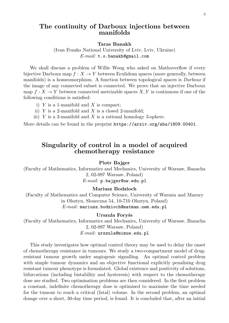# **The continuity of Darboux injections between manifolds**

#### **Taras Banakh**

(Ivan Franko National University of Lviv, Lviv, Ukraine) *E-mail:* t.o.banakh@gmail.com

We shall discuss a problem of Willie Wong who asked on Mathoverflow if every bijective Darboux map  $f: X \to Y$  between Eculidean spaces (more generally, between manifolds) is a homeomorphism. A function between topological spaces is *Darboux* if the image of any connected subset is connected. We prove that an injective Darboux map  $f: X \to Y$  between connected metrizable spaces X, Y is continuous if one of the following conditions is satisfied:

- i)  $Y$  is a 1-manifold and  $X$  is compact;
- ii) Y is a 2-manifold and X is a closed 2-manifold;
- iii) Y is a 3-manifold and X is a rational homology 3-sphere.

More details can be found in the preprint https://arxiv.org/abs/1809.00401.

# **Singularity of control in a model of acquired chemotherapy resistance**

#### **Piotr Bajger**

(Faculty of Mathematics, Informatics and Mechanics, University of Warsaw, Banacha 2, 02-097 Warsaw, Poland)

*E-mail:* p.bajger@uw.edu.pl

### **Mariusz Bodzioch**

(Faculty of Mathematics and Computer Science, University of Warmia and Mazury in Olsztyn, Sloneczna 54, 10-710 Olsztyn, Poland) *E-mail:* mariusz.bodzioch@matman.uwm.edu.pl

#### **Urszula Foryśs**

(Faculty of Mathematics, Informatics and Mechanics, University of Warsaw, Banacha 2, 02-097 Warsaw, Poland) *E-mail:* urszula@mimuw.edu.pl

This study investigates how optimal control theory may be used to delay the onset of chemotherapy resistance in tumours. We study a two-compartment model of drugresistant tumour growth under angiogenic signalling. An optimal control problem with simple tumour dynamics and an objective functional explicitly penalising drug resistant tumour phenotype is formulated. Global existence and positivity of solutions, bifurcations (including bistability and hysteresis) with respect to the chemotherapy dose are studied. Two optimisation problems are then considered. In the first problem a constant, indefinite chemotherapy dose is optimised to maximise the time needed for the tumour to reach a critical (fatal) volume. In the second problem, an optimal dosage over a short, 30-day time period, is found. It is concluded that, after an initial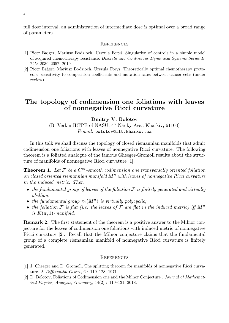full dose interval, an administration of intermediate dose is optimal over a broad range of parameters.

#### **REFERENCES**

- [1] Piotr Bajger, Mariusz Bodzioch, Urszula Foryś. Singularity of controls in a simple model of acquired chemotherapy resistance. *Discrete and Continuous Dynamical Systems Series B*, 245: 2039–2052, 2019.
- [2] Piotr Bajger, Mariusz Bodzioch, Urszula Foryś. Theoretically optimal chemotherapy protocols: sensitivity to competition coefficients and mutation rates between cancer cells (under review).

### **The topology of codimension one foliations with leaves of nonnegative Ricci curvature**

#### **Dmitry V. Bolotov**

(B. Verkin ILTPE of NASU, 47 Nauky Ave., Kharkiv, 61103) *E-mail:* bolotov@ilt.kharkov.ua

In this talk we shall discuss the topology of closed riemannian manifolds that admit codimension one foliations with leaves of nonnegative Ricci curvature. The following theorem is a foliated analogue of the famous Gheeger-Gromoll results about the structure of manifolds of nonnegative Ricci curvature [1].

**Theorem 1.** Let  $\mathcal F$  be a  $C^{\infty}$ -smooth codimension one transversally oriented foliation on closed oriented riemannian manifold  $M^n$  with leaves of nonnegative Ricci curvature *in the induced metric. Then*

- the fundamental group of leaves of the foliation F is finitely generated and virtually *abellian.*
- *the fundamental group*  $\pi_1(M^n)$  *is virtually polycyclic;*
- the foliation  $\mathcal F$  is flat (i.e. the leaves of  $\mathcal F$  are flat in the induced metric) iff  $M^n$ *is*  $K(\pi, 1)$ *-manifold.*

**Remark 2.** The first statement of the theorem is a positive answer to the Milnor conjecture for the leaves of codimension one foliations with induced metric of nonnegative Ricci curvature [2]. Recall that the Milnor conjecture claims that the fundamental group of a complete riemannian manifold of nonnegative Ricci curvature is finitely generated.

- [1] J. Cheeger and D. Gromoll, The splitting theorem for manifolds of nonnegative Ricci curvature. *J. Differential Geom.*, 6 : 119–128, 1971.
- [2] D. Bolotov, Foliations of Codimension one and the Milnor Conjecture . *Journal of Mathematical Physics, Analysis, Geometry*, 14(2) : 119–131, 2018.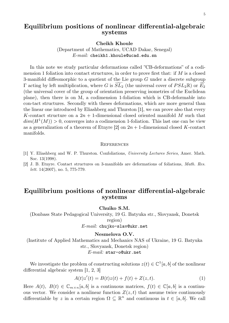# **Equilibrium positions of nonlinear differential-algebraic systems**

**Cheikh Khoule**

(Department of Mathematics, UCAD Dakar, Senegal) *E-mail:* cheikh1.khoule@ucad.edu.sn

In this note we study particular deformations called "CB-deformations" of a codimension 1 foliation into contact structures, in order to prove first that: if  $M$  is a closed 3-manifold diffeomorphic to a quotient of the Lie group  $G$  under a discrete subgroup Γ acting by left multiplication, where G is  $SL_2$  (the universal cover of  $PSL_2\mathbb{R}$ ) or  $E_2$ (the universal cover of the group of orientation preserving isometries of the Euclidean plane), then there is on M, a codimension 1-foliation which is CB-deformable into con-tact structures. Secondly with theses deformations, which are more general than the linear one introduced by Eliashberg and Thurston [1], we can prove also that every K-contact structure on a  $2n + 1$ -dimensional closed oriented manifold M such that  $dim(H^1(M)) > 0$ , converges into a codimension 1-foliation. This last one can be view as a generalization of a theorem of Etnyre  $[2]$  on  $2n + 1$ -dimensional closed K-contact manifolds.

#### **REFERENCES**

- [1] Y. Eliashberg and W. P. Thurston. Confoliations, *University Lectures Series*, Amer. Math. Soc. 13(1998).
- [2] J. B. Etnyre. Contact structures on 3-manifolds are deformations of foliations, *Math. Res. lett.* 14(2007), no. 5, 775-779.

### **Equilibrium positions of nonlinear differential-algebraic systems**

**Chuiko S.M.**

(Donbass State Pedagogical University, 19 G. Batyuka str., Slovyansk, Donetsk region)

*E-mail:* chujko-slav@ukr.net

#### **Nesmelova O.V.**

(Institute of Applied Mathematics and Mechanics NAS of Ukraine, 19 G. Batyuka str., Slovyansk, Donetsk region) *E-mail:* star-o@ukr.net

We investigate the problem of constructing solutions  $z(t) \in \mathbb{C}^1[a, b]$  of the nonlinear differential algebraic system [1, 2, 3]

$$
A(t)z'(t) = B(t)z(t) + f(t) + Z(z, t).
$$
 (1)

Here  $A(t)$ ,  $B(t) \in \mathbb{C}_{m \times n}[a, b]$  is a continuous matrices,  $f(t) \in \mathbb{C}[a, b]$  is a continuous vector. We consider a nonlinear function  $Z(z, t)$  that assume twice continuously differentiable by z in a certain region  $\Omega \subseteq \mathbb{R}^n$  and continuous in  $t \in [a, b]$ . We call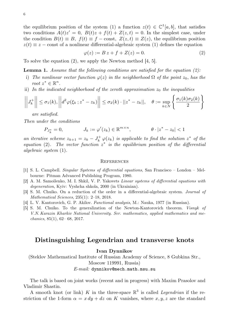the equilibrium position of the system (1) a function  $z(t) \in \mathbb{C}^{1}[a, b]$ , that satisfies two conditions  $A(t)z' = 0$ ,  $B(t)z + f(t) + Z(z,t) = 0$ . In the simplest case, under the condition  $B(t) \equiv B$ ,  $f(t) \equiv f - \text{const}$ ,  $Z(z, t) \equiv Z(z)$ , the equilibrium position  $z(t) \equiv z$  – const of a nonlinear differential-algebraic system (1) defines the equation

$$
\varphi(z) := B z + f + Z(z) = 0. \tag{2}
$$

To solve the equation (2), we apply the Newton method [4, 5].

**Lemma 1.** *Assume that the following conditions are satisfied for the equation (2):*

- i) *The nonlinear vector function*  $\varphi(z)$  *in the neighborhood*  $\Omega$  *of the point*  $z_0$ *, has the root*  $z^* \in \mathbb{R}^n$ .
- ii) In the indicated neighborhood of the zeroth approximation  $z_0$  the inequalities

$$
\left\|J_k^+\right\| \leq \sigma_1(k), \left\|d^2\varphi(\xi_k\,; z^*-z_k)\right\| \leq \sigma_2(k) \cdot ||z^*-z_k||, \quad \theta := \sup_{k\in N} \left\{\frac{\sigma_1(k)\sigma_2(k)}{2}\right\}
$$

*are satisfied.*

*Then under the conditions*

$$
P_{J_k^*} = 0, \qquad J_k := \varphi'(z_k) \in \mathbb{R}^{m \times n}, \qquad \theta \cdot |z^* - z_0| < 1
$$

*an iterative scheme*  $z_{k+1} = z_k - J_k^+$  $\mathcal{L}_{k}^{+}\varphi(z_{k})$  *is applicable to find the solution*  $z^{*}$  *of the equation* (2)*. The vector function* z ∗ *is the equilibrium position of the differential algebraic system* (1)*.*

#### **REFERENCES**

- [1] S. L. Campbell. *Singular Systems of differential equations*, San Francisco London Melbourne: Pitman Advanced Publishing Program, 1980.
- [2] A. M. Samoilenko, M. I. Shkil, V. P. Yakovets *Linear systems of differential equations with degeneration*, Kyiv: Vyshcha shkola, 2000 (in Ukrainian).
- [3] S. M. Chuiko. On a reduction of the order in a differential-algebraic system. *Journal of Mathematical Sciences*, 235(1): 2–18, 2018.
- [4] L. V. Kantorovich, G. P. Akilov. *Functional analysis*, M.: Nauka, 1977 (in Russian).
- [5] S. M. Chuiko. To the generalization of the Newton-Kantorovich theorem. *Visnyk of V.N. Karazin Kharkiv National University. Ser. mathematics, applied mathematics and mechanics*, 85(1), 62– 68, 2017.

### **Distinsguishing Legendrian and transverse knots**

#### **Ivan Dynnikov**

(Steklov Mathematical Institute of Russian Academy of Science, 8 Gubkina Str., Moscow 119991, Russia)

*E-mail:* dynnikov@mech.math.msu.su

The talk is based on joint works (recent and in progress) with Maxim Prasolov and Vladimir Shastin.

A smooth knot (or link) K in the three-space  $\mathbb{R}^3$  is called *Legendrian* if the restriction of the 1-form  $\alpha = x \, dy + dz$  on K vanishes, where  $x, y, z$  are the standard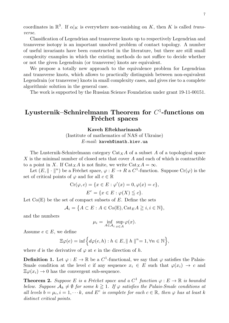coordinates in  $\mathbb{R}^3$ . If  $\alpha|_K$  is everywhere non-vanishing on K, then K is called *transverse*.

Classification of Legendrian and transverse knots up to respectively Legendrian and transverse isotopy is an important unsolved problem of contact topology. A number of useful invariants have been constructed in the literature, but there are still small complexity examples in which the existing methods do not suffice to decide whether or not the given Legendrain (or transverse) knots are equivalent.

We propose a totally new approach to the equivalence problem for Legendrian and transverse knots, which allows to practically distinguish between non-equivalent Legendrain (or transverse) knots in small complexity cases, and gives rise to a complete algorithmic solution in the general case.

The work is supported by the Russian Science Foundation under grant 19-11-00151.

# **Lyusternik–Schnirelmann Theorem for** C 1 **-functions on Fréchet spaces**

#### **Kaveh Eftekharinasab**

(Institute of mathematics of NAS of Ukraine) *E-mail:* kaveh@imath.kiev.ua

The Lusternik-Schnirelmann category  $\text{Cat}_X A$  of a subset A of a topological space X is the minimal number of closed sets that cover  $A$  and each of which is contractible to a point in X. If Cat<sub>X</sub>A is not finite, we write  $Cat_X A = \infty$ .

Let  $(E, \|\cdot\|^n)$  be a Fréchet space,  $\varphi : E \to R$  a  $C^1$ -function. Suppose  $Cr(\varphi)$  is the set of critical points of  $\varphi$  and for all  $c \in \mathbb{R}$ 

$$
\operatorname{Cr}(\varphi, c) = \{x \in E : \varphi'(x) = 0, \varphi(x) = c\},
$$
  

$$
E^c = \{x \in E : \varphi(X) \leqq c\}.
$$

Let  $Co(E)$  be the set of compact subsets of E. Define the sets

$$
\mathcal{A}_i = \big\{ A \subset E : A \in \text{Co}(E), \text{Cat}_E A \geq i, i \in \mathbb{N} \big\},\
$$

and the numbers

$$
\mu_i = \inf_{A \in \mathcal{A}_i} \sup_{x \in A} \varphi(x).
$$

Assume  $e \in E$ , we define

$$
\Xi \varphi(e) = \inf \Big\{ d\varphi(e, h) : h \in E, ||h||^n = 1, \forall n \in \mathbb{N} \Big\},\
$$

where d is the derivative of  $\varphi$  at e in the direction of h.

**Definition 1.** Let  $\varphi : E \to \mathbb{R}$  be a  $C^1$ -functional, we say that  $\varphi$  satisfies the Palais-Smale condition at the level c if any sequence  $x_i \in E$  such that  $\varphi(x_i) \to c$  and  $\Xi \varphi(x_i) \to 0$  has the convergent sub-sequence.

**Theorem 2.** Suppose E is a Fréchet space and a  $C^1$  function  $\varphi : E \to \mathbb{R}$  is bounded *below. Suppose*  $A_k \neq \emptyset$  *for some*  $k \geq 1$ *. If*  $\varphi$  *satisfies the Palais-Smale conditions at all levels*  $b = \mu_i, i = 1, \dots k$ , and  $E^c$  is complete for each  $c \in \mathbb{R}$ , then  $\varphi$  has at least k *distinct critical points.*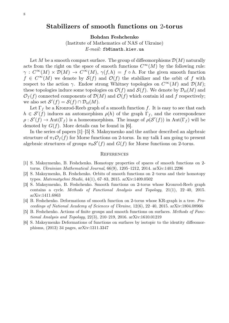### **Stabilizers of smooth functions on** 2**-torus**

**Bohdan Feshchenko**

(Institute of Mathematics of NAS of Ukraine) *E-mail:* fb@imath.kiev.ua

Let M be a smooth compact surface. The group of diffeomorphisms  $\mathcal{D}(M)$  naturally acts from the right on the space of smooth functions  $C^{\infty}(M)$  by the following rule:  $\gamma: C^{\infty}(M) \times \mathcal{D}(M) \to C^{\infty}(M), \gamma(f,h) = f \circ h.$  For the given smooth function  $f \in C^{\infty}(M)$  we denote by  $\mathcal{S}(f)$  and  $\mathcal{O}(f)$  the stabilizer and the orbit of f with respect to the action  $\gamma$ . Endow strong Whitney topologies on  $C^{\infty}(M)$  and  $\mathcal{D}(M)$ ; these topologies induce some topologies on  $\mathcal{O}(f)$  and  $\mathcal{S}(f)$ . We denote by  $\mathcal{D}_{\text{id}}(M)$  and  $\mathcal{O}_f(f)$  connected components of  $\mathcal{D}(M)$  and  $\mathcal{O}(f)$  which contain id and f respectively; we also set  $\mathcal{S}'(f) = \mathcal{S}(f) \cap \mathcal{D}_{\text{id}}(M)$ .

Let  $\Gamma_f$  be a Kronrod-Reeb graph of a smooth function f. It is easy to see that each  $h \in \mathcal{S}'(f)$  induces an automorphism  $\rho(h)$  of the graph  $\Gamma_f$ , and the correspondence  $\rho: S'(f) \to \text{Aut}(\Gamma_f)$  is a homeomorphism. The image of  $\rho(S'(f))$  in  $\text{Aut}(\Gamma_f)$  will be denoted by  $G(f)$ . More details can be found in [6].

In the series of papers [1]–[5] S. Maksymenko and the author described an algebraic structure of  $\pi_1 \mathcal{O}_f(f)$  for Morse functions on 2-torus. In my talk I am going to present algebraic structures of groups  $\pi_0 \mathcal{S}'(f)$  and  $G(f)$  for Morse functions on 2-torus.

- [1] S. Maksymenko, B. Feshchenko. Homotopy properties of spaces of smooth functions on 2 torus. *Ukrainian Mathematical Journal*, 66(9), 1205–1212, 2014. arXiv:1401.2296
- [2] S. Maksymenko, B. Feshchenko. Orbits of smooth functions on 2–torus and their homotopy types. *Matematychni Studii*, 44(1), 67–83, 2015. arXiv:1409.0502
- [3] S. Maksymenko, B. Feshchenko. Smooth functions on 2-torus whose Kronrod-Reeb graph contains a cycle. *Methods of Functional Analysis and Topology*, 21(1), 22–40, 2015. arXiv:1411.6863
- [4] B. Feshchenko. Deformations of smooth function on 2-torus whose KR-graph is a tree. *Proceedings of National Academy of Sciences of Ukraine*, 12(6), 22–40, 2015. arXiv:1804.08966
- [5] B. Feshchenko. Actions of finite groups and smooth functions on surfaces. *Methods of Functional Analysis and Topology*, 22(3), 210–219, 2016. arXiv:1610.01219
- [6] S. Maksymenko Deformations of functions on surfaces by isotopic to the identity diffeomorphisms, (2013) 34 pages, arXiv:1311.3347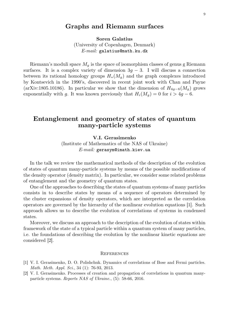### **Graphs and Riemann surfaces**

**Soren Galatius** (University of Copenhagen, Denmark) *E-mail:* galatius@math.ku.dk

Riemann's moduli space  $M_g$  is the space of isomorphism classes of genus g Riemann surfaces. It is a complex variety of dimension  $3g - 3$ . I will discuss a connection between its rational homology groups  $H_*(M_g)$  and the graph complexes introduced by Kontsevich in the 1990's, discovered in recent joint work with Chan and Payne (arXiv:1805.10186). In particular we show that the dimension of  $H_{4q-6}(M_q)$  grows exponentially with g. It was known previously that  $H_i(M_g) = 0$  for  $i > 4g - 6$ .

### **Entanglement and geometry of states of quantum many-particle systems**

**V.I. Gerasimenko**

(Institute of Mathematics of the NAS of Ukraine) *E-mail:* gerasym@imath.kiev.ua

In the talk we review the mathematical methods of the description of the evolution of states of quantum many-particle systems by means of the possible modifications of the density operator (density matrix). In particular, we consider some related problems of entanglement and the geometry of quantum states.

One of the approaches to describing the states of quantum systems of many particles consists in to describe states by means of a sequence of operators determined by the cluster expansions of density operators, which are interpreted as the correlation operators are governed by the hierarchy of the nonlinear evolution equations [1]. Such approach allows us to describe the evolution of correlations of systems in condensed states.

Moreover, we discuss an approach to the description of the evolution of states within framework of the state of a typical particle within a quantum system of many particles, i.e. the foundations of describing the evolution by the nonlinear kinetic equations are considered [2].

- [1] V. I. Gerasimenko, D. O. Polishchuk. Dynamics of correlations of Bose and Fermi particles. *Math. Meth. Appl. Sci.*, 34 (1): 76-93, 2013.
- [2] V. I. Gerasimenko. Processes of creation and propagation of correlations in quantum manyparticle systems. *Reports NAS of Ukraine.*, (5): 58-66, 2016.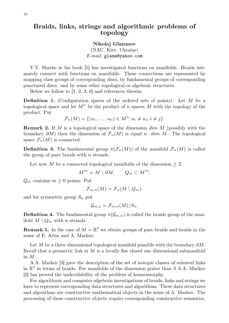# **Braids, links, strings and algorithmic problems of topology**

#### **Nikolaj Glazunov**

(NAU, Kiev, Ukraine) *E-mail:* glanm@yahoo.com

V.V. Sharko in his book [5] has investigated functions on manifolds. Braids intimately connect with functions on manifolds. These connections are represented by mapping class groups of corresponding discs, by fundamental groups of corresponding punctured discs. and by some other topological or algebraic structures.

Below we follow to [1, 2, 3, 6] and references therein.

**Definition 1.** (Configuration spaces of the ordered sets of points). Let M be a topological space and let  $M^n$  be the product of n spaces M with the topology of the product. Put

$$
\mathcal{F}_n(M) = \{ (u_1, \ldots, u_n) \in M^n; u_i \neq u_j, i \neq j \}.
$$

**Remark 2.** If M is a topological space of the dimension dim M (possibly with the boundary  $\partial M$ ) then the dimension of  $\mathcal{F}_n(M)$  is equal  $n \cdot dim M$ . The topological space  $\mathcal{F}_n(M)$  is connected.

**Definition 3.** The fundamental group  $\pi(\mathcal{F}_n(M))$  of the manifold  $\mathcal{F}_n(M)$  is called the group of pure braids with  $n$  strands.

Let now M be a connected topological manifolds of the dimension  $\geq 2$ ,

 $M^{in} = M \setminus \partial M, \qquad Q_m \subset M^{in},$ 

 $Q_m$  contains  $m \geq 0$  points. Put

$$
\mathcal{F}_{m,n}(M)=\mathcal{F}_n(M\setminus Q_m).
$$

and for symmetric group  $S_n$  put

$$
\mathcal{G}_{m,n}=\mathcal{F}_{m,n}(M)/S_n.
$$

**Definition 4.** The fundamental group  $\pi(\mathcal{G}_{m,n})$  is called the braids group of the manifold  $M \setminus Q_m$  with n strands.

**Remark 5.** In the case of  $M = \mathbb{R}^2$  we obtain groups of pure braids and braids in the sense of E. Artin and A. Markov.

Let M be a three dimensional topological manifold possible with the boundary  $\partial M$ . Recall that a geometric link in  $M$  is a locally flat closed one dimensional submanifold in M.

A.A. Markov [3] gave the description of the set of isotopic classes of oriented links in  $\mathbb{R}^3$  in terms of braids. For manifolds of the dimension grater than 3 A.A. Markov [2] has proved the undecidability of the problem of homeomorphy.

For algorithmic and computer-algebraic investigations of braids, links and strings we have to represent corresponding data structures and algorithms. These data structures and algorithms are constructive mathematical objects in the sense of A. Markov. The processing of these constructive objects require corresponding constructive semantics.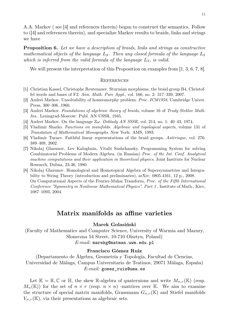A.A. Markov ( see [4] and references therein) began to construct the semantics. Follow to ([4] and references therein), and specialize Markov results to braids, links and strings we have

**Proposition 6.** *Let we have a description of braids, links and strings as constructive mathematical objects of the language*  $L_2$ *. Then any closed formula of the language*  $L_2$ *which is inferred from the valid formula of the language*  $L_2$ *, is valid.* 

We will present the interpretation of this Proposition on examples from [1, 3, 6, 7, 8].

#### **REFERENCES**

- [1] Christian Kassel, Christophe Reutenauer. Sturmian morphisms, the braid group B4, Christoffel words and bases of F2. *Ann. Math. Pure Appl.*, vol. 166, no. 2: 317–339, 2007.
- [2] Andrei Markov. Unsolvability of homeomorphy problem. *Proc. ICM1958*, Cambridge Univer. Press, 300–306. 1960.
- [3] Andrei Markov. *Foundations of algebraic theory of braids*, volume 16 of *Trudy Steklov Math. Ins.*. Leningrad-Moscow: Publ. AN USSR, 1945.
- [4] Andrei Markov. On the language Zω. *Doklady AN SSSR*, vol. 214, no. 1: 40–43, 1974.
- [5] Vladimir Sharko. *Functions on manifolds. Algebraic and topological aspects*, volume 131 of *Translation of Mathematical Monographs*. New York: AMS, 1993.
- [6] Vladimir Turaev. Faithful linear representations of the braid groups. *Astèrisque*, vol. 276: 389–409, 2002.
- [7] Nikolaj Glazunov, Lev Kalughnin, Vitalii Sushchansky. Programming System for solving Combinatorial Problems of Modern Algebra. (in Russian) *Proc. of the Int. Conf. Analytical machine computations and their application in theoretical physics*, Joint Institute for Nuclear Research, Dubna, 23-36, 1980.
- [8] Nikolaj Glazunov. Homological and Homotopical Algebra of Supersymmetries and Integrability to String Theory (introduction and preliminaries), arXiv: 0805.4161, 12 p., 2008. On Computational Aspects of the Fourier-Mukai Transform, *Proc. of the Fifth International Conference "Symmetry in Nonlinear Mathematical Physics", Part 3* , Institute of Math., Kiev, 1087–1093, 2004.

### **Matrix manifolds as affine varieties**

#### **Marek Golasiński**

(Faculty of Mathematics and Computer Science, University of Warmia and Mazury, Sloneczna 54 Street, 10-710 Olsztyn, Poland)

*E-mail:* marekg@matman.uwm.edu.pl

#### **Francisco Gómez Ruiz**

(Departamento de Álgebra, Geometría y Topología, Facultad de Ciencias, Universidad de Málaga, Campus Universitario de Teatinos, 29071 Málaga, España) *E-mail:* gomez\_ruiz@uma.es

Let  $\mathbb{K} = \mathbb{R}, \mathbb{C}$  or  $\mathbb{H}$ , the skew R-algebra of quaternions and write  $M_{n,r}(\mathbb{K})$  (resp.  $M_n(\mathbb{K})$  for the set of  $n \times r$  (resp.  $n \times n$ ) -matrices over K. We aim to examine the structure of special matrix manifolds, Grassmann  $G_{n,r}(\mathbb{K})$  and Stiefel manifolds  $V_{n,r}(\mathbb{K})$ , via their presentations as algebraic sets.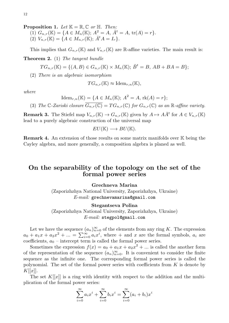**Proposition 1.** Let  $\mathbb{K} = \mathbb{R}, \mathbb{C}$  or  $\mathbb{H}$ . Then:

- (1)  $G_{n,r}(\mathbb{K}) = \{A \in M_n(\mathbb{K}); A^2 = A, \overline{A}^t = A, \text{tr}(A) = r\}.$
- (2)  $V_{n,r}(\mathbb{K}) = \{ A \in M_{n,r}(\mathbb{K}); \, \bar{A}^t A = I_r \}.$

This implies that  $G_{n,r}(\mathbb{K})$  and  $V_{n,r}(\mathbb{K})$  are R-affine varieties. The main result is: **Theorem 2.** (1) *The tangent bundle*

$$
TG_{n,r}(\mathbb{K}) = \{ (A, B) \in G_{n,r}(\mathbb{K}) \times M_n(\mathbb{K}); \, \bar{B}^t = B, AB + BA = B \};
$$

(2) *There is an algebraic isomorphism*

$$
TG_{n,r}(\mathbb{K})\approx \mathrm{Idem}_{r,n}(\mathbb{K}),
$$

*where*

$$
\text{Idem}_{r,n}(\mathbb{K}) = \{ A \in M_n(\mathbb{K}); A^2 = A, \text{rk}(A) = r \};
$$

(3) The C-Zariski closure  $G_{n,r}(\mathbb{C}) = TG_{n,r}(\mathbb{C})$  for  $G_{n,r}(\mathbb{C})$  as an R-affine variety.

**Remark 3.** The Stiefel map  $V_{n,r}(\mathbb{K}) \to G_{n,r}(\mathbb{K})$  given by  $A \mapsto A\overline{A}^t$  for  $A \in V_{n,r}(\mathbb{K})$ lead to a purely algebraic construction of the universal map

$$
EU(\mathbb{K}) \longrightarrow BU(\mathbb{K}).
$$

**Remark 4.** An extension of those results on some matrix manifolds over K being the Cayley algebra, and more generally, a composition algebra is planed as well.

## **On the separability of the topology on the set of the formal power series**

**Grechneva Marina**

(Zaporizhzhya National University, Zaporizhzhya, Ukraine) *E-mail:* grechnevamarina@gmail.com

#### **Stegantseva Polina**

(Zaporizhzhya National University, Zaporizhzhya, Ukraine) *E-mail:* stegpol@gmail.com

Let we have the sequence  $(a_n)_{n=0}^{\infty}$  of the elements from any ring K. The expression  $a_0 + a_1x + a_2x^2 + ... = \sum_{i=0}^{\infty} a_ix^i$ , where  $+$  and x are the formal symbols,  $a_i$  are coefficients,  $a_0$  – intercept term is called the formal power series.

Sometimes the expression  $f(x) = a_0 + a_1x + a_2x^2 + ...$  is called the another form of the representation of the sequence  $(a_n)_{n=0}^{\infty}$ . It is convenient to consider the finite sequence as the infinite one. The corresponding formal power series is called the polynomial. The set of the formal power series with coefficients from  $K$  is denote by  $K[[x]]$ .

The set  $K[[x]]$  is a ring with identity with respect to the addition and the multiplication of the formal power series:

$$
\sum_{i=0}^{\infty} a_i x^i + \sum_{i=0}^{\infty} b_i x^i = \sum_{i=0}^{\infty} (a_i + b_i) x^i
$$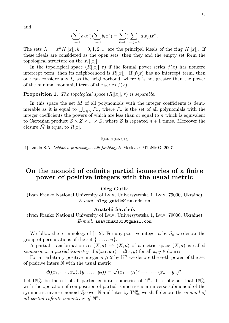and

$$
(\sum_{i=0}^{\infty} a_i x^i)(\sum_{i=0}^{\infty} b_i x^i) = \sum_{k=0}^{\infty} (\sum_{i+j=k} a_i b_j) x^k.
$$

The sets  $I_k = x^k K[[x]], k = 0, 1, 2, ...$  are the principal ideals of the ring  $K[[x]].$  If these ideals are considered as the open sets, then they and the empty set form the topological structure on the  $K[[x]]$ .

In the topological space  $(R[[x]], \tau)$  if the formal power series  $f(x)$  has nonzero intercept term, then its neighborhood is  $R[[x]]$ . If  $f(x)$  has no intercept term, then one can consider any  $I_k$  as the neighborhood, where k is not greater than the power of the minimal monomial term of the series  $f(x)$ .

#### **Proposition 1.** *The topological space*  $(R[[x]], \tau)$  *is separable.*

In this space the set  $M$  of all polynomials with the integer coefficients is denumerable as it is equal to  $\bigcup_{n\in\mathbb{N}} P_n$ , where  $P_n$  is the set of all polynomials with the integer coefficients the powers of which are less than or equal to  $n$  which is equivalent to Cartesian product  $Z \times Z \times ... \times Z$ , where Z is repeated  $n+1$  times. Moreover the closure M is equal to  $R[x]$ .

#### **REFERENCES**

[1] Lando S.A. *Lektsii o proizvodyaschih funktsiyah*. Moskva : MTsNMO, 2007.

### **On the monoid of cofinite partial isometries of a finite power of positive integers with the usual metric**

#### **Oleg Gutik**

(Ivan Franko National University of Lviv, Universytetska 1, Lviv, 79000, Ukraine) *E-mail:* oleg.gutik@lnu.edu.ua

#### **Anatolii Savchuk**

(Ivan Franko National University of Lviv, Universytetska 1, Lviv, 79000, Ukraine) *E-mail:* asavchuk3333@gmail.com

We follow the terminology of [1, 2]. For any positive integer n by  $S_n$  we denote the group of permutations of the set  $\{1, \ldots, n\}.$ 

A partial transformation  $\alpha: (X, d) \rightarrow (X, d)$  of a metric space  $(X, d)$  is called *isometric* or a *partial isometry*, if  $d(x\alpha, y\alpha) = d(x, y)$  for all  $x, y \in \text{dom }\alpha$ .

For an arbitrary positive integer  $n \geq 2$  by  $\mathbb{N}^n$  we denote the *n*-th power of the set of positive inters N with the usual metric:

$$
d((x_1,\dots,x_n),(y_1,\dots,y_2))=\sqrt{(x_1-y_1)^2+\dots+(x_n-y_n)^2}.
$$

Let  $\mathbb{IN}_{\infty}^n$  be the set of all partial cofinite isometries of  $\mathbb{N}^n$ . It is obvious that  $\mathbb{IN}_{\infty}^n$ ∞ with the operation of composition of partial isometries is an inverse submonoid of the symmetric inverse monoid  $\mathcal{I}_{\mathbb{N}}$  over  $\mathbb{N}$  and later by  $\mathbb{IN}_{\infty}^n$  we shall denote the *monoid of* all partial cofinite isometries of  $\mathbb{N}^n$ .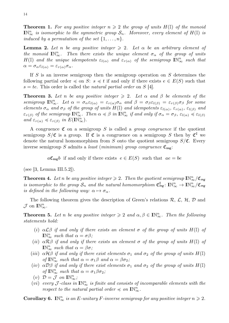**Theorem 1.** For any positive integer  $n \geq 2$  the group of units  $H(\mathbb{I})$  of the monoid  $\mathbf{I}\mathbb{N}_{\infty}^n$  *is isomorphic to the symmetric group*  $\mathcal{S}_n$ *. Moreover, every element of*  $H(\mathbb{I})$  *is induced by a permutation of the set*  $\{1, \ldots, n\}$ *.* 

**Lemma 2.** Let *n* be any positive integer  $\geq 2$ . Let  $\alpha$  be an arbitrary element of *the monoid*  $\mathbb{IN}_{\infty}^n$ . Then there exists the unique element  $\sigma_{\alpha}$  of the group of units  $H(\mathbb{I})$  *and the unique idempotents*  $\varepsilon_{l(\alpha)}$  *and*  $\varepsilon_{r(\alpha)}$  *of the semigroup*  $\mathbf{I} \mathbb{N}_{\infty}^n$  *such that*  $\alpha = \sigma_{\alpha} \varepsilon_{l(\alpha)} = \varepsilon_{r(\alpha)} \sigma_{\alpha}.$ 

If S is an inverse semigroup then the semigroup operation on S determines the following partial order  $\preccurlyeq$  on S:  $s \preccurlyeq t$  if and only if there exists  $e \in E(S)$  such that  $s = te$ . This order is called the *natural partial order* on S [4].

**Theorem 3.** Let *n* be any positive integer  $\geq 2$ . Let  $\alpha$  and  $\beta$  be elements of the  $semigroup \mathbb{IN}_{\infty}^n$ . Let  $\alpha = \sigma_{\alpha} \varepsilon_{l(\alpha)} = \varepsilon_{r(\alpha)} \sigma_{\alpha}$  and  $\beta = \sigma_{\beta} \varepsilon_{l(\beta)} = \varepsilon_{r(\beta)} \sigma_{\beta}$  for some *elements*  $\sigma_{\alpha}$  *and*  $\sigma_{\beta}$  *of the group of units*  $H(\mathbb{I})$  *and idempotents*  $\varepsilon_{l(\alpha)}$ *,*  $\varepsilon_{r(\alpha)}$ *,*  $\varepsilon_{l(\beta)}$  *and*  $\varepsilon_{r(\beta)}$  *of the semigroup*  $\mathbf{I} \mathbb{N}_{\infty}^n$ . Then  $\alpha \preccurlyeq \beta$  *in*  $\mathbf{I} \mathbb{N}_{\infty}^n$  *if and only if*  $\sigma_{\alpha} = \sigma_{\beta}$ ,  $\varepsilon_{l(\alpha)} \preccurlyeq \varepsilon_{l(\beta)}$  $and \varepsilon_{r(\alpha)} \preccurlyeq \varepsilon_{r(\beta)} \text{ in } E(\mathbb{IN}_{\infty}^n).$ 

A congruence  $\mathfrak C$  on a semigroup S is called a *group congruence* if the quotient semigroup  $S/\mathfrak{C}$  is a group. If  $\mathfrak{C}$  is a congruence on a semigroup S then by  $\mathfrak{C}^{\sharp}$  we denote the natural homomorphism from S onto the quotient semigroup  $S/\mathfrak{C}$ . Every inverse semigroup S admits a *least* (*minimum*) *group congruence*  $\mathfrak{C}_{mg}$ :

 $a\mathfrak{C}_{mg}b$  if and only if there exists  $e \in E(S)$  such that  $ae = be$ 

(see  $|3$ , Lemma III.5.2.).

**Theorem 4.** Let n be any positive integer  $\geq 2$ . Then the quotient semigroup  $\mathbb{N}_{\infty}^n/\mathfrak{C}_{mg}$ *is isomorphic to the group*  $S_n$  *and the natural homomorphism*  $\mathfrak{C}_{mg}^{\sharp}$ :  $\mathbb{IN}_{\infty}^n \to \mathbb{IN}_{\infty}^n/\mathfrak{C}_{mg}$ *is defined in the following way:*  $\alpha \mapsto \sigma_{\alpha}$ .

The following theorem gives the description of Green's relations  $\mathcal{R}, \mathcal{L}, \mathcal{H}, \mathcal{D}$  and  $\mathcal{J}$  on  $\mathbb{I}\mathbb{N}_{\infty}^n$ .

**Theorem 5.** Let *n* be any positive integer  $\geq 2$  and  $\alpha, \beta \in \mathbb{N}_{\infty}^n$ . Then the following *statements hold:*

- (i)  $\alpha \mathcal{L} \beta$  *if and only if there exists an element*  $\sigma$  *of the group of units*  $H(\mathbb{I})$  *of*  $\mathbb{IN}_{\infty}^n$  *such that*  $\alpha = \sigma\beta$ *;*
- (*ii*)  $\alpha \mathcal{R} \beta$  *if and only if there exists an element*  $\sigma$  *of the group of units*  $H(\mathbb{I})$  *of*  $\mathbb{IN}_{\infty}^n$  such that  $\alpha = \beta \sigma$ ;
- (*iii*)  $\alpha \mathcal{H} \beta$  *if and only if there exist elements*  $\sigma_1$  *and*  $\sigma_2$  *of the group of units*  $H(\mathbb{I})$ *of*  $\mathbb{IN}_{\infty}^n$  *such that*  $\alpha = \sigma_1 \beta$  *and*  $\alpha = \beta \sigma_2$ *;*
- (iv)  $\alpha \mathcal{D}\beta$  *if and only if there exist elements*  $\sigma_1$  *and*  $\sigma_2$  *of the group of units*  $H(\mathbb{I})$ *of*  $\mathbb{IN}_{\infty}^n$  *such that*  $\alpha = \sigma_1 \beta \sigma_2$ ;
- (*v*)  $\mathcal{D} = \mathcal{J}$  on  $\mathbb{I} \mathbb{N}_{\infty}^n$ ;
- (*vi*) *every*  $\mathcal{J}$ -class in  $\mathbb{IN}_{\infty}^n$  is finite and consists of incomparable elements with the *respect to the natural partial order*  $\preccurlyeq$  *on*  $\mathbb{IN}_{\infty}^n$ .

**Corollary 6.** IN<sup>n</sup><sub>∞</sub> *is an E*-unitary *F*-inverse semigroup for any positive integer  $n \ge 2$ .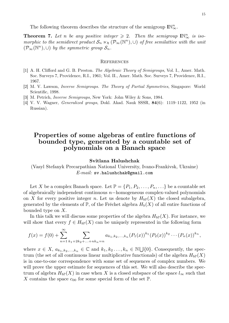The following theorem describes the structure of the semigroup  $\mathbb{IN}_{\infty}^n$ .

**Theorem 7.** Let n be any positive integer  $\geq 2$ . Then the semigroup  $\mathbb{IN}_{\infty}^n$  is iso*morphic to the semidirect product*  $S_n \ltimes_b (\mathcal{P}_{\infty}(\mathbb{N}^n), \cup)$  *of free semilattice with the unit*  $(\mathcal{P}_{\infty}(\mathbb{N}^n), \cup)$  by the symmetric group  $\mathcal{S}_n$ .

#### **REFERENCES**

- [1] A. H. Clifford and G. B. Preston. *The Algebraic Theory of Semigroups*, Vol. I., Amer. Math. Soc. Surveys 7, Providence, R.I., 1961; Vol. II., Amer. Math. Soc. Surveys 7, Providence, R.I., 1967.
- [2] M. V. Lawson, *Inverse Semigroups. The Theory of Partial Symmetries*, Singapore: World Scientific, 1998.
- [3] M. Petrich, *Inverse Semigroups*, New York: John Wiley & Sons, 1984.
- [4] V. V. Wagner, *Generalized groups*, Dokl. Akad. Nauk SSSR, **84**(6): 1119–1122, 1952 (in Russian).

# **Properties of some algebras of entire functions of bounded type, generated by a countable set of polynomials on a Banach space**

#### **Svitlana Halushchak**

(Vasyl Stefanyk Precarpathian National University, Ivano-Frankivsk, Ukraine) *E-mail:* sv.halushchak@gmail.com

Let X be a complex Banach space. Let  $\mathbb{P} = \{P_1, P_2, \ldots, P_n, \ldots\}$  be a countable set of algebraically independent continuous n−homogeneous complex-valued polynomials on X for every positive integer n. Let us denote by  $H_{bP}(X)$  the closed subalgebra, generated by the elements of  $\mathbb{P}$ , of the Fréchet algebra  $H_b(X)$  of all entire functions of bounded type on X.

In this talk we will discuss some properties of the algebra  $H_{b\mathbb{P}}(X)$ . For instance, we will show that every  $f \in H_{b}P(X)$  can be uniquely represented in the following form

$$
f(x) = f(0) + \sum_{n=1}^{\infty} \sum_{k_1 + 2k_2 + \ldots + nk_n = n} a_{k_1, k_2, \ldots, k_n} (P_1(x))^{k_1} (P_2(x))^{k_2} \cdots (P_n(x))^{k_n},
$$

where  $x \in X$ ,  $a_{k_1,k_2,...,k_n} \in \mathbb{C}$  and  $k_1, k_2,...,k_n \in \mathbb{N} \cup \{0\}$ . Consequently, the spectrum (the set of all continuous linear multiplicative functionals) of the algebra  $H_{bP}(X)$ is in one-to-one correspondence with some set of sequences of complex numbers. We will prove the upper estimate for sequences of this set. We will also describe the spectrum of algebra  $H_{b\mathbb{P}}(X)$  in case when X is a closed subspace of the space  $l_{\infty}$  such that X contains the space  $c_{00}$  for some special form of the set  $\mathbb{P}$ .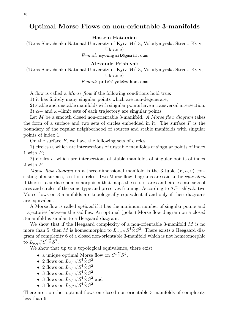# **Optimal Morse Flows on non-orientable 3-manifolds**

#### **Hossein Hatamian**

(Taras Shevchenko National University of Kyiv 64/13, Volodymyrska Street, Kyiv,

Ukraine)

*E-mail:* myowngait@gmail.com

#### **Alexandr Prishlyak**

(Taras Shevchenko National University of Kyiv 64/13, Volodymyrska Street, Kyiv, Ukraine)

#### *E-mail:* prishlyak@yahoo.com

A flow is called a *Morse flow* if the following conditions hold true:

1) it has finitely many singular points which are non-degenerate;

2) stable and unstable manifolds with singular points have a transversal intersection;

3)  $\alpha$  – and  $\omega$ –limit sets of each trajectory are singular points.

Let M be a smooth closed non-orientable 3-manifold. *A Morse flow diagram* takes the form of a surface and two sets of circles embedded in it. The surface  $F$  is the boundary of the regular neighborhood of sources and stable manifolds with singular points of index 1.

On the surface  $F$ , we have the following sets of circles:

1) circles  $u$ , which are intersections of unstable manifolds of singular points of index 1 with  $F$ ;

2) circles  $v$ , which are intersections of stable manifolds of singular points of index 2 with F.

*Morse flow diagram* on a three-dimensional manifold is the 3-tuple  $(F, u, v)$  consisting of a surface, a set of circles. Two Morse flow diagrams are said to be *equivalent* if there is a surface homeomorphism that maps the sets of arcs and circles into sets of arcs and circles of the same type and preserves framing. According to A.Prishlyak, two Morse flows on 3-manifolds are topologically equivalent if and only if their diagrams are equivalent.

A Morse flow is called *optimal* if it has the minimum number of singular points and trajectories between the saddles. An optimal (polar) Morse flow diagram on a closed 3-manifold is similar to a Heegaard diagram.

We show that if the Heegaard complexity of a non-orientable 3-manifold  $M$  is no more than 5, then M is homeomorphic to  $L_{p,q} \# S^1 \tilde{\times} S^2$ . There exists a Heegaard diagram of complexity 6 of a closed non-orientable 3-manifold which is not homeomorphic to  $L_{p,q} \# S^1 \widetilde{\times} S^2$ .

We show that up to a topological equivalence, there exist

- a unique optimal Morse flow on  $S^1 \widetilde{\times} S^2$ ,
- 2 flows on  $L_{2,1} \# S^1 \widetilde{\times} S^2$ ,
- 2 flows on  $L_{3,1} \# S^1 \widetilde{\times} S^2$ ,
- 3 flows on  $L_{4,1} \# S^1 \widetilde{\times} S^2$ ,
- 3 flows on  $L_{5,1} \# S^1 \widetilde{\times} S^2$  and
- 3 flows on  $L_{5,2} \# S^1 \widetilde{\times} S^2$ .

There are no other optimal flows on closed non-orientable 3-manifolds of complexity less than 6.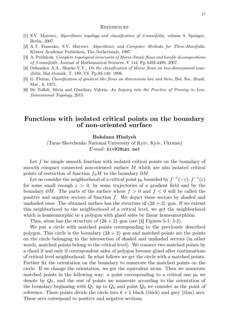#### **REFERENCES**

- [1] S.V. Matveev, *Algorithmic topology and classification of 3-manifolds*, volume 9, Springer, Berlin, 2007.
- [2] A.T. Fomenko, S.V. Matveev. *Algorithmic and Computer Methods for Three-Manifolds*. Kluwer Academic Publishers, The Netherlands, 1997.
- [3] A. Prishlyak, *Complete topological invariants of Morse-Smale flows and handle decompositions of 3-manifolds.* Journal of Mathematical Sciences. V 144. Pp.4492-4499, 2007.
- [4] Oshemkov A.A., Sharko V.V., *On the classification of Morse flows on two-dimensional manifolds*, Mat.sbornik, T. 189, V8. Pp.93-140, 1998.
- [5] G. Fleitas, *Classification of gradient like flows on dimensions two and three*, Bol. Soc. Brasil. Mat., 6, 1975.
- [6] De Toffoli, Silvia and Giardino, Valeria, *An Inquiry into the Practice of Proving in Low-Dimensional Topology*, 2015.

### **Functions with isolated critical points on the boundary of non-oriented surface**

#### **Bohdana Hladysh**

(Taras Shevchenko National University of Kyiv, Kyiv, Ukraine) *E-mail:* biv92@ukr.net

Let f be simple smooth function with isolated critical points on the boundary of smooth compact connected non-oriented surface M which are also isolated critical points of restriction of function  $f_{\partial}M$  to the boundary  $\partial M$ .

Let us consider the neighborhood of a critical point  $p_0$  bounded by  $f^{-1}(-\varepsilon)$ ,  $f^{-1}(\varepsilon)$ for some small enough  $\varepsilon > 0$ , by some trajectories of a gradient field and by the boundary  $\partial M$ . The parts of the surface where  $f > 0$  and  $f < 0$  will be called the positive and negative sectors of function  $f$ . We depict these sectors by shaded and unshaded ones. The obtained surface has the structure of  $(2k+2)$ –gon. If we extend this neighborhood to the neighborhood of a critical level, we get the neighborhood which is homeomorphic to a polygon with glued sides by linear homeomorphism.

Thus, atom has the structure of  $(2k + 2)$ –gon (see [4] Figures 5-1, 5-2).

We put a circle with matched points corresponding to the previously described polygon. This circle is the boundary  $(2k + 2)$ –gon and matched points are the points on the circle belonging to the intersection of shaded and unshaded sectors (in other words, matched points belong to the critical level). We connect two matched points by a chord if and only if correspondent sides of polygon become glued after continuations of critical level neighborhood. In what follows we get the circle with a matched points. Further fix the orientation on the boundary to numerate the matched points on the circle. If we change the orientation, we get the equivalent atom. Then we numerate matched points in the following way: a point corresponding to a critical one  $p_0$  we denote by  $Q_0$ , and the rest of points we numerate according to the orientation of the boundary beginning with  $Q_1$  up to  $Q_k$  and point  $Q_0$  we consider as the point of reference. These points divide the circle into  $k + 1$  black (thick) and grey (thin) arcs. These arcs correspond to positive and negative sections.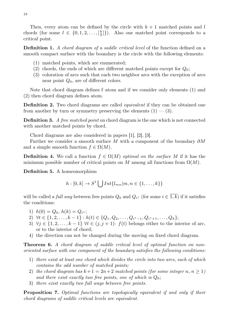Then, every atom can be defined by the circle with  $k + 1$  matched points and l chords (for some  $l \in \{0, 1, 2, \ldots, \lceil \frac{k}{2} \rceil \}$  $\binom{k}{2}$ . Also one matched point corresponds to a critical point.

**Definition 1.** *A chord diagram of a saddle critical level* of the function defined on a smooth compact surface with the boundary is the circle with the following elements:

- (1) matched points, which are enumerated;
- (2) chords, the ends of which are different matched points except for  $Q_0$ ;
- (3) coloration of arcs such that each two neighbor arcs with the exception of arcs near point  $Q_0$ , are of different colors.

Note that chord diagram defines f–atom and if we consider only elements (1) and (2) then chord diagram defines atom.

**Definition 2.** Two chord diagrams are called *equivalent* if they can be obtained one from another by turn or symmetry preserving the elements  $(1)$  –  $(3)$ .

**Definition 3.** *A free matched point* on chord diagram is the one which is not connected with another matched points by chord.

Chord diagrams are also considered in papers [1], [2], [3].

Further we consider a smooth surface M with a component of the boundary  $\partial M$ and a simple smooth function  $f \in \Omega(M)$ .

**Definition 4.** We call a function  $f \in \Omega(M)$  *optimal on the surface* M if it has the minimum possible number of critical points on M among all functions from  $\Omega(M)$ .

**Definition 5.** A homeomorphism

$$
h:[0,k]\to S^1\bigcup Int\{l_{mn}|m,n\in\{1,\ldots,k\}\}\
$$

will be called a *full way* between free points  $Q_0$  and  $Q_{i^*}$  (for some  $i \in 1, k$ ) if it satisfies the conditions:

- 1)  $h(0) = Q_0, h(k) = Q_{i^*};$
- 2)  $\forall t \in \{1, 2, \ldots, k-1\} : h(t) \in \{Q_1, Q_2, \ldots, Q_{i^*-1}, Q_{i^*+1}, \ldots, Q_k\};$
- 3)  $\forall j \in \{1, 2, \ldots, k-1\} \forall t \in (j, j+1)$ :  $f(t)$  belongs either to the interior of arc, or to the interior of chord;
- 4) the direction can not be changed during the moving on fixed chord diagram.

**Theorem 6.** *A chord diagram of saddle critical level of optimal function on nonoriented surface with one component of the boundary satisfies the following conditions:*

- 1) *there exist at least one chord which divides the circle into two arcs, each of which contains the odd number of matched points;*
- 2) the chord diagram has  $k+1 = 2n+2$  matched points (for some integer n,  $n \ge 1$ ) *and there exist exactly two free points, one of which is* Q0*;*
- 3) *there exist exactly two full ways between free points.*

**Proposition 7.** *Optimal functions are topologically equivalent if and only if their chord diagrams of saddle critical levels are equivalent.*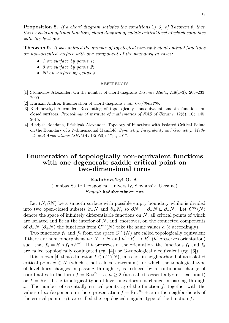**Proposition 8.** *If a chord diagram satisfies the conditions* 1)–3) *of Theorem 6, then there exists an optimal function, chord diagram of saddle critical level of which coincides with the first one.*

**Theorem 9.** *It was defined the number of topological non-equivalent optimal functions on non-oriented surface with one component of the boundary in cases:*

- *1 on surface by genus 1;*
- *3 on surface by genus 2;*
- *20 on surface by genus 3.*

#### **REFERENCES**

- [1] Stoimenov Alexander. On the number of chord diagrams *Discrete Math.*, 218(1–3): 209–233, 2000.
- [2] Khruzin Andrei. Enumeration of chord diagrams *math.CO/0008209*.
- [3] Kadubovskyi Alexander. Recounting of topologically nonequivalent smooth functions on closed surfaces, *Proceedings of institute of mathematics of NAS of Ukraine*, 12(6), 105–145, 2015.
- [4] Hladysh Bohdana, Prishlyak Alexander. Topology of Functions with Isolated Critical Points on the Boundary of a 2–dimensional Manifold, *Symmetry, Integrability and Geometry: Methods and Applications (SIGMA)* 13(050): 17p., 2017.

# **Enumeration of topologically non-equivalent functions with one degenerate saddle critical point on two-dimensional torus**

**Kadubovs'kyi O. A.** (Donbas State Pedagogical University, Slovians'k, Ukraine) *E-mail:* kadubovs@ukr.net

Let  $(N, \partial N)$  be a smooth surface with possible empty boundary whihe is divided into two open-closed subsets  $\partial_N$  and  $\partial_N$ , so  $\partial N = \partial_N \Box \partial_N$ . Let  $C^{\infty}(N)$ denote the space of infinitely differentiable functions on  $N$ , all critical points of which are isolated and lie in the interior of  $N$ , and, moreover, on the connected components of  $\partial$ -N ( $\partial$ +N) the functions from  $C^{\infty}(N)$  take the same values a (b accordingly).

Two functions  $f_1$  and  $f_2$  from the space  $C^{\infty}(N)$  are called topologically equivalent if there are homeomorphisms  $h: N \to N$  and  $h': R^1 \to R^1$  (*h'* preserves orientation) such that  $f_2 = h' \circ f_1 \circ h^{-1}$ . If h preserves of the orientation, the functions  $f_1$  and  $f_2$ are called topologically conjugated (eg. [4]) or O-topologically equivalent (eg. [6]).

It is known [4] that a function  $f \in C^{\infty}(N)$ , in a certain neighborhood of its isolated critical point  $x \in N$  (which is not a local extremum) for which the topological type of level lines changes in passing through  $x$ , is reduced by a continuous change of coordinates to the form  $f = \text{Re}z^n + c$ ,  $n \geq 2$  (are called «essentially» critical point) or  $f = \text{Re}z$  if the topological type of level lines does not change in passing through x. The number of essentially critical points  $x_i$  of the function f, together with the values of  $n_i$  (exponents in there presentation  $f = \text{Re}z^{n_i} + c_i$  in the neighborhoods of the critical points  $x_i$ ), are called the topological singular type of the function f.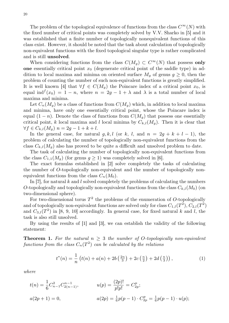The problem of the topological equivalence of functions from the class  $C^{\infty}(N)$  with the fixed number of critical points was completely solved by V.V. Sharko in [5] and it was established that a finite number of topologically nonequivalent functions of this class exist. However, it should be noted that the task about calculation of topologically non-equivalent functions with the fixed topological singular type is rather complicated and is still **unsolved**.

When considering functions from the class  $C(M_g) \subset C^{\infty}(N)$  that possess only **one** essentially critical point  $x_0$  (degenerate critical point of the saddle type) in addition to local maxima and minima on oriented surface  $M_q$  of genus  $q \geq 0$ , then the problem of counting the number of such non-equivalent functions is greatly simplified. It is well known [4] that  $\forall f \in C(M_g)$  the Poincare index of a critical point  $x_0$ , is equal ind<sup>f</sup> $(x_0) = 1 - n$ , where  $n = 2g - 1 + \lambda$  and  $\lambda$  is a total number of local maxima and minima.

Let  $C_n(M_g)$  be a class of functions from  $C(M_g)$  which, in addition to local maxima and minima, have only one essentially critical point, whose the Poincare index is equal  $(1 - n)$ . Denote the class of functions from  $C(M_q)$  that possess one essentially critical point, k local maxima and l local minima by  $C_{k,l}(M_g)$ . Then it is clear that  $\forall f \in C_{k,l}(M_q)$   $n = 2g - 1 + k + l$ .

In the general case, for natural g, k, l (or k, l, and  $n = 2g + k + l - 1$ ), the problem of calculating the number of topologically non-equivalent functions from the class  $C_{k,l}(M_g)$  also has proved to be quite a difficult and unsolved problem to date.

The task of calculating the number of topologically non-equivalent functions from the class  $C_{1,1}(M_q)$  (for genus  $q \ge 1$ ) was completely solved in [6].

The exact formulas established in [2] solve completely the tasks of calculating the number of O-topologically non-equivalent and the number of topologically nonequivalent functions from the class  $C_n(M_0)$ .

In [7], for natural k and l solved completely the problems of calculating the numbers O-topologically and topologically non-equivalent functions from the class  $C_{k,l}(M_0)$  (on two-dimensional sphere).

For two-dimensional torus  $T^2$  the problems of the enumeration of O-topologically and of topologically non-equivalent functions are solved only for class  $C_{1,l}(T^2), C_{2,l}(T^2)$ and  $C_{3,l}(T^2)$  in [8, 9, 10] accordingly. In general case, for fixed natural k and l, the task is also still unsolved.

By using the results of [1] and [3], we can establish the validity of the following statement:

**Theorem 1.** For the natural  $n \geq 3$  the number of O-topologically non-equivalent  $functions from the class C<sub>n</sub>(T<sup>2</sup>) can be calculated by the relations$ 

$$
t^{*}(n) = \frac{1}{n} \left( t(n) + a(n) + 2b \left( \frac{2n}{3} \right) + 2c \left( \frac{n}{2} \right) + 2d \left( \frac{n}{3} \right) \right), \tag{1}
$$

*where*

$$
t(n) = \frac{1}{6} C_{n-1}^{2} C_{2(n-1)}^{n-1}, \qquad u(p) = \frac{(2p)!}{p!p!} = C_{2p}^{p};
$$
  

$$
a(2p+1) = 0, \qquad a(2p) = \frac{1}{6} p(p-1) \cdot C_{2p}^{p} = \frac{1}{6} p(p-1) \cdot u(p);
$$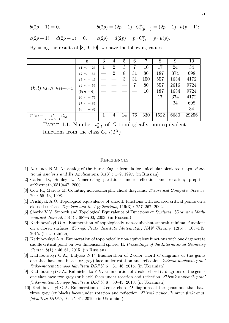$b(2p+1) = 0,$   $b(2p) = (2p-1) \cdot C_{2(p-1)}^{p-1} = (2p-1) \cdot u(p-1);$  $c(2p+1) = d(2p+1) = 0,$   $c(2p) = d(2p) = p \cdot C_{2p}^p = p \cdot u(p).$ 

By using the results of [8, 9, 10], we have the following values

|                                          | n            | 3 | 4              | 5  | 6  | 7   | 8      | 9    | 10    |
|------------------------------------------|--------------|---|----------------|----|----|-----|--------|------|-------|
| $(k; l)$ $k, l \in N, k+l = n-1$         | $(1; n - 2)$ | 1 | $\overline{2}$ | 3  | 7  | 10  | $17\,$ | 24   | 34    |
|                                          | $(2; n-3)$   |   | $\overline{2}$ | 8  | 31 | 80  | 187    | 374  | 698   |
|                                          | $(3; n-4)$   |   |                | 3  | 31 | 150 | 557    | 1634 | 4172  |
|                                          | $(4; n-5)$   |   |                |    | 7  | 80  | 557    | 2616 | 9724  |
|                                          | $(5; n-6)$   |   |                |    |    | 10  | 187    | 1634 | 9724  |
|                                          | $(6; n - 7)$ |   |                |    |    |     | 17     | 374  | 4172  |
|                                          | $(7; n - 8)$ |   |                |    |    |     |        | 24   | 698   |
|                                          | $(8; n - 9)$ |   |                |    |    |     |        |      | 34    |
| $t^{*}(n) =$<br>$t_{k,l}^*$<br>$k+l=n-1$ |              |   | 4              | 14 | 76 | 330 | 1522   | 6680 | 29256 |

TABLE 1.1. Number  $t_{k,l}^*$  of O-topologically non-equivalent functions from the class  $C_{k,l}(T^2)$ 

- [1] Adrianov N.M. An analog of the Harer–Zagier formula for unicellular bicolored maps. *Functional Analysis and Its Applications*, 31(3) : 1–9, 1997. (in Russian)
- [2] Callan D., Smiley L. Noncrossing partitions under reflection and rotation; preprint, arXiv:math/0510447, 2000.
- [3] Cori R., Marcus M. Counting non-isomorphic chord diagrams. *Theoretical Computer Science*, 204: 55–73, 1998.
- [4] Prishlyak A.O. Topological equivalence of smooth functions with isolated critical points on a cloused surface. *Topology and its Applications*, 119(3) : 257–267, 2002.
- [5] Sharko V.V. Smooth and Topological Equivalence of Functions on Surfaces. *Ukrainian Mathematical Journal*, 55(5) : 687–700, 2003. (in Russian)
- [6] Kadubovs'kyi O.A. Enumeration of topologically non-equivalent smooth minimal functions on a closed surfaces. *Zbirnyk Prats' Institutu Matematyky NAN Ukrainy*, 12(6) : 105–145, 2015. (in Ukrainian)
- [7] Kadubovskyi A.A. Enumeration of topologically non-equivalent functions with one degenerate saddle critical point on two-dimensional sphere, II. *Proceedings of the International Geometry Center*, 8(1) : 46–61, 2015. (in Russian)
- [8] Kadubovs'kyi O.A., Balyasa N.P. Enumeration of 2-color chord O-diagrams of the genus one that have one black (or grey) face under rotation and reflection. *Zbirnik naukovih prac' fiziko-matematicnogo fakul'tetu DDPU*, 6 : 31–46, 2016. (in Ukrainian)
- [9] Kadubovs'kyi O.A., Kalinichenko Y.V. Enumeration of 2-color chord O-diagrams of the genus one that have two grey (or black) faces under rotation and reflection. *Zbirnik naukovih prac' fiziko-matematicnogo fakul'tetu DDPU*, 8 : 30–45, 2018. (in Ukrainian)
- [10] Kadubovs'kyi O.A. Enumeration of 2-color chord O-diagrams of the genus one that have three grey (or black) faces under rotation and reflection. *Zbirnik naukovih prac' fiziko-mat. fakul'tetu DDPU*, 9 : 25–41, 2019. (in Ukrainian)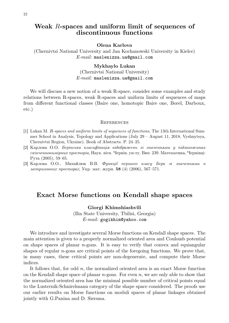## **Weak** R**-spaces and uniform limit of sequences of discontinuous functions**

**Olena Karlova**

(Chernivtsi National University and Jan Kochanowski University in Kielce) *E-mail:* maslenizza.ua@gmail.com

#### **Mykhaylo Lukan**

(Chernivtsi National University) *E-mail:* maslenizza.ua@gmail.com

We will discuss a new notion of a weak R-space, consider some examples and study relations between R-spaces, weak R-spaces and uniform limits of sequences of maps from different functional classes (Baire one, homotopic Baire one, Borel, Darboux, etc.)

#### **REFERENCES**

- [1] Lukan M. R*-spaces and uniform limits of sequences of functions*, The 13th International Summer School in Analysis, Topology and Applications (July 29 – August 11, 2018, Vyshnytsya, Chernivtsi Region, Ukraine). Book of Abstracts. P. 24–25.
- [2] Карлова О.О. *Берівська класифікація відображень зі значеннями у підмножинах скінченновимірних просторів*, Наук. вісн. Чернів. ун-ту. Вип. 239. Математика, Чернівці: Рута (2005), 59–65.
- [3] Карлова О.О., Михайлюк В.В. *Функції першого класу Бера зі значеннями в метризовних просторах*, Укр. мат. журн. **58** (4) (2006), 567–571.

### **Exact Morse functions on Kendall shape spaces**

**Giorgi Khimshiashvili**

(Ilia State University, Tbilisi, Georgia) *E-mail:* gogikhim@yahoo.com

We introduce and investigate several Morse functions on Kendall shape spaces. The main attention is given to a properly normalized oriented area and Coulomb potential on shape spaces of planar  $n$ -gons. It is easy to verify that convex and equiangular shapes of regular  $n$ -gons are critical points of the foregoing functions. We prove that, in many cases, these critical points are non-degenerate, and compute their Morse indices.

It follows that, for odd  $n$ , the normalized oriented area is an exact Morse function on the Kendall shape space of planar *n*-gons. For even *n*, we are only able to show that the normalized oriented area has the minimal possible number of critical points equal to the Lusternik-Schnirelmann category of the shape space considered. The proofs use our earlier results on Morse functions on moduli spaces of planar linkages obtained jointly with G.Panina and D. Siersma.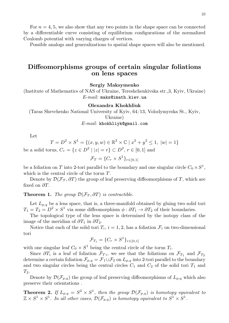For  $n = 4, 5$ , we also show that any two points in the shape space can be connected by a differentiable curve consisting of equilibrium configurations of the normalized Coulomb potential with varying charges of vertices.

Possible analogs and generalizations to spatial shape spaces will also be mentioned.

### **Diffeomorphisms groups of certain singular foliations on lens spaces**

**Sergiy Maksymenko**

(Institute of Mathematics of NAS of Ukraine, Tereshchenkivska str.,3, Kyiv, Ukraine) *E-mail:* maks@imath.kiev.ua

#### **Olexandra Khokhliuk**

(Taras Shevchenko National University of Kyiv, 64/13, Volodymyrska St., Kyiv, Ukraine)

*E-mail:* khokhliyk@gmail.com

Let

$$
T = D2 \times S1 = \{(x, y, w) \in \mathbb{R}^2 \times \mathbb{C} \mid x^2 + y^2 \le 1, \ |w| = 1\}
$$

be a solid torus,  $C_r = \{ z \in D^2 \mid |z| = r \} \subset D^2$ ,  $r \in [0, 1]$  and

$$
\mathcal{F}_T = \{C_r \times S^1\}_{r \in [0,1]}
$$

be a foliation on T into 2-tori parallel to the boundary and one singular circle  $C_0 \times S^1$ , which is the central circle of the torus T.

Denote by  $\mathcal{D}(\mathcal{F}_{\mathcal{T}}, \partial T)$  the group of leaf preserving diffeomorphisms of T, which are fixed on  $\partial T$ .

#### **Theorem 1.** *The group*  $\mathcal{D}(\mathcal{F}_T, \partial T)$  *is contractible.*

Let  $L_{p,q}$  be a lens space, that is, a three-manifold obtained by gluing two solid tori  $T_1 = T_2 = D^2 \times S^1$  via some diffeomorphism  $\phi : \partial T_1 \to \partial T_2$  of their boundaries.

The topological type of the lens space is determined by the isotopy class of the image of the meridian of  $\partial T_1$  in  $\partial T_2$ .

Notice that each of the solid tori  $T_i$ ,  $i = 1, 2$ , has a foliation  $\mathcal{F}_i$  on two-dimensional tori

$$
\mathcal{F}_{T_i} = \{C_r \times S^1\}_{r \in [0,1]}
$$

with one singular leaf  $C_0 \times S^1$  being the central circle of the torus  $T_i$ .

Since  $\partial T_i$  is a leaf of foliation  $\mathcal{F}_{T_i}$ , we see that the foliations on  $\mathcal{F}_{T_1}$  and  $\mathcal{F}_{T_2}$ determine a certain foliation  $\mathcal{F}_{p,q} = \mathcal{F}_1 \cup \mathcal{F}_2$  on  $L_{p,q}$  into 2-tori parallel to the boundary and two singular circles being the central circles  $C_1$  and  $C_2$  of the solid tori  $T_1$  and  $T_2$ .

Denote by  $\mathcal{D}(\mathcal{F}_{p,q})$  the group of leaf preserving diffeomorphisms of  $L_{p,q}$  which also preserve their orientations .

**Theorem 2.** If  $L_{p,q} = S^2 \times S^1$ , then the group  $\mathcal{D}(\mathcal{F}_{p,q})$  is homotopy equivalent to  $\mathbb{Z} \times S^1 \times S^1$ . In all other cases,  $\mathcal{D}(\mathcal{F}_{p,q})$  is homotopy equivalent to  $S^1 \times S^1$ .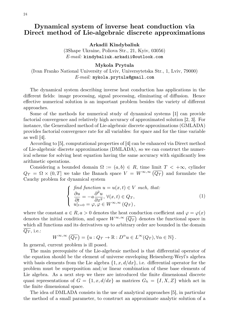### **Dynamical system of inverse heat conduction via Direct method of Lie-algebraic discrete approximations**

**Arkadii Kindybaliuk**

(3Shape Ukraine, Poliova Str., 21, Kyiv, 03056) *E-mail:* kindybaliuk.arkadii@outlook.com

#### **Mykola Prytula**

(Ivan Franko National University of Lviv, Universytetska Str., 1, Lviv, 79000) *E-mail:* mykola.prytula@gmail.com

The dynamical system describing inverse heat conduction has applications in the different fields: image processing, signal processing, eliminating of diffusion. Hence effective numerical solution is an important problem besides the variety of different approaches.

Some of the methods for numerical study of dynamical systems [1] can provide factorial convergence and relatively high accuracy of approximated solution [2, 3]. For instance, the Generalized method of Lie-algebraic discrete approximations (GMLADA) provides factorial convergence rate for all variables: for space and for the time variable as well [4].

According to [5], computational properties of [4] can be enhanced via Direct method of Lie-algebraic discrete approximations (DMLADA), so we can construct the numerical scheme for solving heat equation having the same accuracy with significantly less arithmetic operations.

Considering a bounded domain  $\Omega := (a, b) \in R$ , time limit  $T < +\infty$ , cylinder  $Q_T = \Omega \times (0, T]$  we take the Banach space  $V = W^{\infty, \infty}(\overline{Q_T})$  and formulate the Cauchy problem for dynamical system

$$
\begin{cases}\n\int f \, d\mu \, du = u(x, t) \in V \text{ such that:} \\
\frac{\partial u}{\partial t} = -a \frac{\partial^2 u}{\partial x^2}, \forall (x, t) \in Q_T, \\
u|_{t=0} = \varphi, \varphi \in W^{\infty, \infty}(Q_T),\n\end{cases} \tag{1}
$$

where the constant  $a \in R$ ,  $a > 0$  denotes the heat conduction coefficient and  $\varphi = \varphi(x)$ denotes the initial condition, and space  $W^{\infty,\infty}(\overline{Q_T})$  denotes the functional space in which all functions and its derivatives up to arbitrary order are bounded in the domain  $Q_T$ , i.e.:

$$
W^{\infty,\infty}(\overline{Q_T}) = \{u : Q_T \to \mathbb{R} : D^{\alpha}u \in L^{\infty}(Q_T), \forall \alpha \in \mathbb{N}\}.
$$

In general, current problem is ill posed.

The main prerequisite of the Lie-algebraic method is that differential operator of the equation should be the element of universe enveloping Heisenberg-Weyl's algebra with basis elements from the Lie algebra  $\{1, x, d/dx\}$ , i.e. differential operator for the problem must be superposition and/or linear combination of these base elements of Lie algebra. As a next step we there are introduced the finite dimensional discrete quasi representations of  $G = \{1, x, d/dx\}$  as matrices  $G_h = \{I, X, Z\}$  which act in the finite dimensional space.

The idea of DMLADA consists in the use of analytical approaches [5], in particular the method of a small parameter, to construct an approximate analytic solution of a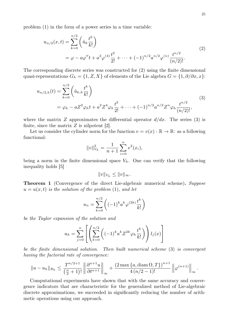problem (1) in the form of a power series in a time variable:

$$
u_{n/2}(x,t) = \sum_{k=0}^{n/2} \left( \tilde{u}_k \frac{t^k}{k!} \right)
$$
  
=  $\varphi - a\varphi''t + a^2\varphi^{(4)}\frac{t^2}{2!} + \dots + (-1)^{n/2} a^{n/2} \varphi^{(n)} \frac{t^{n/2}}{(n/2)!}.$  (2)

The corresponding discrete series was constructed for (2) using the finite dimensional quasi-representations  $G_h = \{1, Z, X\}$  of elements of the Lie algebra  $G = \{1, \partial/\partial x, x\}$ :

$$
u_{n/2,h}(t) = \sum_{k=0}^{n/2} \left( \tilde{u}_{k,h} \frac{t^k}{k!} \right)
$$
  
=  $\varphi_h - aZ^2 \varphi_h t + a^2 Z^4 \varphi_h \frac{t^2}{2!} + \dots + (-1)^{n/2} a^{n/2} Z^n \varphi_h \frac{t^{n/2}}{(n/2)!},$  (3)

where the matrix Z approximates the differential operator  $d/dx$ . The series (3) is finite, since the matrix  $Z$  is nilpotent  $[2]$ .

Let us consider the cylinder norm for the function  $v = v(x) : \mathbb{R} \to \mathbb{R}$ : as a following functional:

$$
||v||_{V_h}^2 = \frac{1}{n+1} \sum_{i=0}^n v^2(x_i),
$$

being a norm in the finite dimensional space  $V_h$ . One can verify that the following inequality holds [5]

$$
||v||_{V_h} \leq ||v||_{\infty}.
$$

**Theorem 1** (Convergence of the direct Lie-algebraic numerical scheme)**.** *Suppose*  $u = u(x, t)$  *is the solution of the problem* (1)*, and let* 

$$
u_n = \sum_{k=0}^{n/2} \left( (-1)^k a^k \varphi^{(2k)} \frac{t^k}{k!} \right)
$$

*be the Taylor expansion of the solution and*

$$
u_h = \sum_{j=0}^n \left[ \left( \sum_{k=0}^{n/2} \left( (-1)^k a^k Z^{2k} \varphi_h \frac{t^k}{k!} \right) \right) l_j(x) \right]
$$

*be the finite dimensional solution. Then built numerical scheme* (3) *is convergent having the factorial rate of convergence:*

$$
||u-u_h||_{B_h} \leq \frac{T^{n/2+1}}{\left(\frac{n}{2}+1\right)!} \left\| \frac{\partial^{n+1} u}{\partial t^{n+1}} \right\|_{\infty} + \frac{(2 \max\{a, \operatorname{diam}\Omega, T\})^{n+1}}{4(n/2-1)!} \left\| \varphi^{(n+1)} \right\|_{\infty}.
$$

Computational experiments have shown that with the same accuracy and convergence indicators that are characteristic for the generalized method of Lie-algebraic discrete approximations, we succeeded in significantly reducing the number of arithmetic operations using our approach.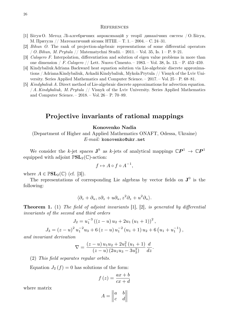#### **REFERENCES**

- [1] Бігун О. Метод Лі-алгебричних апроксимацій у теорії динамічних систем / О. Бігун, М. Притула // Математичний вісник НТШ. – Т. 1. – 2004. – С. 24–31.
- [2] *Bihun O.* The rank of projection-algebraic representations of some differential operators / *O. Bihun, M. Prytula* // Matematychni Studii. – 2011. – Vol. 35, Is. 1 – P. 9–21.
- [3] *Calogero F.* Interpolation, differentiation and solution of eigen value problems in more than one dimension / *F. Calogero* // Lett. Nuovo Cimento. – 1983. – Vol. 38, Is. 13. – P. 453–459.
- [4] Kindybaliuk Adriana Backward heat equation solution via Lie-algebraic discrete approximations / Adriana Kindybaliuk, Arkadii Kindybaliuk, Mykola Prytula // Visnyk of the Lviv University. Series Applied Mathematics and Computer Science. – 2017. – Vol. 25 – P. 68–81.
- [5] *Kindybaliuk A.* Direct method of Lie-algebraic discrete approximations for advection equation. / *A. Kindybaliuk, M. Prytula* // Visnyk of the Lviv University. Series Applied Mathematics and Computer Science. – 2018. – Vol. 26 – P. 70–89.

# **Projective invariants of rational mappings**

#### **Кonovenko Nadia**

(Department of Higher and Applied Mathematics ONAFT, Odessa, Ukraine) *E-mail:* konovenko@ukr.net

We consider the k-jet spaces  $J^k$  as k-jets of analytical mappings  $\mathbb{C}P^1 \to \mathbb{C}P^1$ equipped with adjoint  $\mathbb{P}\mathbf{SL}_2(\mathbb{C})$ -action:

$$
f \mapsto A \circ f \circ A^{-1},
$$

where  $A \in \mathbb{P}SL_2(\mathbb{C})$  (cf. [3]).

The representations of corresponding Lie algebras by vector fields on  $J^0$  is the following:

$$
\langle \partial_z + \partial_u, z \partial_z + u \partial_u, z^2 \partial_z + u^2 \partial_u \rangle.
$$

**Theorem 1.** (1) *The field of adjoint invariants* [1], [2]*, is generated by differential invariants of the second and third orders*

$$
J_2 = u_1^{-3} ((z - u) u_2 + 2u_1 (u_1 + 1))^2,
$$
  
\n
$$
J_3 = (z - u)^2 u_1^{-2} u_3 + 6 (z - u) u_1^{-2} (u_1 + 1) u_2 + 6 (u_1 + u_1^{-1}),
$$

*and invariant derivation*

$$
\nabla = \frac{(z-u) u_1 u_2 + 2u_1^2 (u_1 + 1)}{(z-u) (2u_1 u_3 - 3u_2^2)} \frac{d}{dz}.
$$

(2) *This field separates regular orbits.*

Equation  $J_2(f) = 0$  has solutions of the form:

$$
f(z) = \frac{ax + b}{cx + d}
$$

where matrix

$$
A = \begin{vmatrix} a & b \\ c & d \end{vmatrix}
$$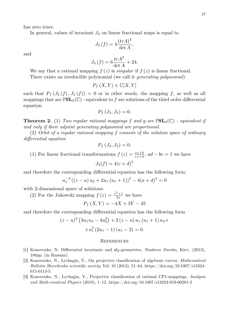has zero trace.

In general, values of invariant  $J_2$  on linear fractional maps is equal to

$$
J_2(f) = 4 \frac{(trA)^2}{\det A},
$$

and

$$
J_3(f) = 6\frac{trA^2}{\det A} + 24.
$$

We say that a rational mapping  $f(z)$  is *singular* if  $f(z)$  is linear fractional. There exists an irreducible polynomial (we call it *generating polynomial*)

$$
P_f(X, Y) \in \mathbb{C}[X, Y]
$$

such that  $P_f(J_2(f), J_3(f)) = 0$  or in other words, the mapping f, as well as all mappings that are  $\mathbb{P}SL_2(\mathbb{C})$  - equivalent to f are solutions of the third order differential equation

$$
P_f\left(J_2,J_3\right)=0.
$$

**Theorem 2.** (1) *Two regular rational mappings* f *and* g *are* P**SL**2(C) *- equivalent if and only if their adjoint generating polynomial are proportional.*

(2) *Orbit of a regular rational mapping* f *consists of the solution space of ordinary differential equation*

$$
P_f\left(J_2,J_3\right)=0.
$$

(1) For linear fractional transformations  $f(z) = \frac{az+b}{cz+d}$ ,  $ad - bc = 1$  we have

$$
J_2(f) = 4(c+d)^2
$$

and therefore the corresponding differential equation has the following form:

$$
u_1^{-3} ((z - u) u_2 + 2u_1 (u_1 + 1))^2 - 4(a + d)^2 = 0
$$

with 2-dimensional space of solutions.

(2) For the Jukowski mapping  $f(z) = \frac{z^2+1}{2z}$  $\frac{z+1}{2z}$  we have

$$
P_f(X, Y) = -4X + 3Y - 45
$$

and therefore the corresponding differential equation has the following form

$$
(z-u)^{2} (3u_{1}u_{3} - 4u_{2}^{2}) + 2 (z-u) u_{1} (u_{1} + 1) u_{2} ++ u_{1}^{2} (2u_{1} - 1) (u_{1} - 2) = 0.
$$

- [1] Konovenko, N. Differential invariants and sl2-geometries, *Naukova Dumka*, Kiev, (2013), 188pp. (in Russian).
- [2] Konovenko, N., Lychagin, V., On projective classification of algebraic curves, *Mathematical Bulletin Shevchenko scientific society*, Vol. 10 (2013), 51–64. https://doi.org/10.1007/s13324- 015-0113-5.
- [3] Konovenko, N., Lychagin, V., Projective classification of rational CP1-mappings, *Analysis and Math-ematical Physics* (2019), 1–12. https://doi.org/10.1007/s13324-019-00281-2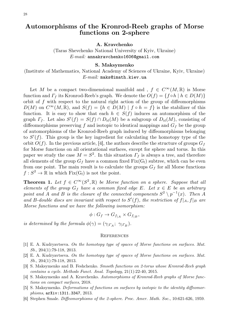# 28

## **Automorphisms of the Kronrod-Reeb graphs of Morse functions on 2-sphere**

#### **A. Kravchenko**

(Taras Shevchenko National University of Kyiv, Ukraine) *E-mail:* annakravchenko1606@gmail.com

#### **S. Maksymenko**

(Institute of Mathematics, National Academy of Sciences of Ukraine, Kyiv, Ukraine) *E-mail:* maks@imath.kiev.ua

Let M be a compact two-dimensional manifold and ,  $f \in C^{\infty}(M,\mathbb{R})$  is Morse function and  $\Gamma_f$  its Kronrod-Reeb's graph. We denote the  $O(f) = \{f \circ h \mid h \in D(M)\}\$ orbit of  $f$  with respect to the natural right action of the group of diffeomorphisms  $D(M)$  on  $C^{\infty}(M,\mathbb{R})$ , and  $S(f) = \{h \in D(M) \mid f \circ h = f\}$  is the stabilizer of this function. It is easy to show that each  $h \in S(f)$  induces an automorphism of the graph  $\Gamma_f$ . Let also  $S'(f) = S(f) \cap D_{\text{id}}(M)$  be a subgroup of  $D_{\text{id}}(M)$ , consisting of diffeomorphisms preserving f and isotopic to identical mappings and  $G_f$  be the group of automorphisms of the Kronrod-Reeb graph induced by diffeomorphisms belonging to  $S'(f)$ . This group is the key ingredient for calculating the homotopy type of the orbit  $O(f)$ . In the previous article, [4], the authors describe the structure of groups  $G_f$ for Morse functions on all orientational surfaces, except for sphere and torus. In this paper we study the case  $M = S^2$ . In this situation  $\Gamma_f$  is always a tree, and therefore all elements of the group  $G_f$  have a common fixed  $Fix(G_f)$  subtree, which can be even from one point. The main result is to calculate the groups  $G_f$  for all Morse functions  $f: S^2 \to \mathbb{R}$  in which  $Fix(G_f)$  is not the point.

**Theorem 1.** Let  $f \in C^{\infty}(S^2, \mathbb{R})$  be Morse function on a sphere. Suppose that all *elements of the group*  $G_f$  *have a common fixed edge E. Let*  $x \in E$  *be an arbitrary* point and *A* and *B* is the closure of the connected components  $S^2 \setminus p^{-1}(x)$ . Then *A* and B-double discs are invariant with respect to  $S'(f)$ , the restriction of  $f|_A, f|_B$  are *Morse functions and we have the following isomorphism:*

 $\phi: G_f \to G_{f_{|A}} \times G_{f_{|B}},$ 

*is determined by the formula*  $\phi(\gamma) = (\gamma_{\vert \Gamma_A}; \ \gamma_{\vert \Gamma_B}).$ 

- [1] E. A. Kudryavtseva. *On the homotopy type of spaces of Morse functions on surfaces*. *Mat. Sb.*, 204(1):79-118, 2013.
- [2] E. A. Kudryavtseva. *On the homotopy type of spaces of Morse functions on surfaces*. *Mat. Sb.*, 204(1):79-118, 2013.
- [3] S. Maksymenko and B. Feshchenko. *Smooth functions on 2-torus whose Kronrod-Reeb graph contains a cycle*. *Methods Funct. Anal. Topology*, 21(1):22-40, 2015.
- [4] S. Maksymenko and A. Kravchenko. *Automorphisms of Kronrod-Reeb graphs of Morse functions on compact surfaces*, 2018.
- [5] S. Maksymenko. *Deformations of functions on surfaces by isotopic to the identity diffeomorphisms*, arXiv:1311.3347, 2013.
- [6] Stephen Smale. *Diffeomorphisms of the 2-sphere*. *Proc. Amer. Math. Soc.*, 10:621-626, 1959.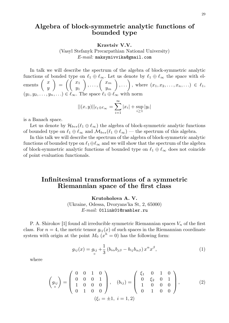### **Algebra of block-symmetric analytic functions of bounded type**

**Kravtsiv V.V.**

(Vasyl Stefanyk Precarpathian National University) *E-mail:* maksymivvika@gmail.com

In talk we will describe the spectrum of the algebra of block-symmetric analytic functions of bonded type on  $\ell_1 \oplus \ell_\infty$ . Let us denote by  $\ell_1 \oplus \ell_\infty$  the space with elements  $\begin{pmatrix} x \\ y \end{pmatrix}$  $\hat{y}$  $\setminus$  $=\left(\begin{array}{c} x_1 \\ y_2 \end{array}\right)$  $y_1$  $\Big\}$ , ...,  $\Big( \begin{array}{c} x_m \\ x_m \end{array} \Big)$  $y_m$  $\Big), \ldots \Big),$  where  $(x_1, x_2, \ldots, x_n, \ldots) \in \ell_1$ ,  $(y_1, y_2, \ldots, y_n, \ldots) \in \ell_\infty$ . The space  $\ell_1 \oplus \ell_\infty$  with norm

$$
||(x,y)||_{\ell_1 \oplus \ell_\infty} = \sum_{i=1}^{\infty} |x_i| + \sup_{i \ge 1} |y_i|
$$

is a Banach space.

Let us denote by  $\mathcal{H}_{bvs}(\ell_1 \oplus \ell_\infty)$  the algebra of block-symmetric analytic functions of bounded type on  $\ell_1 \oplus \ell_\infty$  and  $\mathcal{M}_{bvs}(\ell_1 \oplus \ell_\infty)$  — the spectrum of this algebra.

In this talk we will describe the spectrum of the algebra of block-symmetric analytic functions of bounded type on  $\ell_1 \oplus \ell_\infty$  and we will show that the spectrum of the algebra of block-symmetric analytic functions of bounded type on  $\ell_1 \oplus \ell_\infty$  does not coincide of point evaluation functionals.

### **Infinitesimal transformations of a symmetric Riemannian space of the first class**

**Krutoholova A. V.** (Ukraine, Odessa, Dvoryans'ka St, 2, 65000) *E-mail:* 01link01@rambler.ru

P. A. Shirokov [1] found all irreducible symmetric Riemannian spaces  $V_n$  of the first class. For  $n = 4$ , the metric tensor  $g_{ij}(x)$  of such spaces in the Riemannian coordinate system with origin at the point  $M_0$   $(x<sup>h</sup> = 0)$  has the following form:

$$
g_{ij}(x) = g_{ij} + \frac{1}{3} \left( b_{i\alpha} b_{j\beta} - b_{ij} b_{\alpha\beta} \right) x^{\alpha} x^{\beta}, \tag{1}
$$

where

$$
\begin{pmatrix} g_{ij} \\ o \end{pmatrix} = \begin{pmatrix} 0 & 0 & 1 & 0 \\ 0 & 0 & 0 & 1 \\ 1 & 0 & 0 & 0 \\ 0 & 1 & 0 & 0 \end{pmatrix}, \quad (b_{ij}) = \begin{pmatrix} \xi_1 & 0 & 1 & 0 \\ 0 & \xi_2 & 0 & 1 \\ 1 & 0 & 0 & 0 \\ 0 & 1 & 0 & 0 \end{pmatrix}, \quad (2)
$$

$$
(\xi_i = \pm 1, i = 1, 2)
$$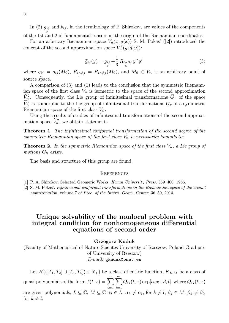In (2)  $g_{ij}$  and  $b_{ij}$ , in the terminology of P. Shirokov, are values of the components of the 1st and 2nd fundamental tensors at the origin of the Riemannian coordinates.

For an arbitrary Riemannian space  $V_n(x; g(x))$  S. M. Pokas' ([2]) introduced the concept of the second approximation space  $\widetilde{V}_n^2(y; \widetilde{g}(y))$ :

$$
\widetilde{g}_{ij}(y) = g_{ij} + \frac{1}{3} R_{i\alpha\beta j} y^{\alpha} y^{\beta}
$$
\n(3)

where  $g_{ij} = g_{ij}(M_0)$ ,  $R_{i\alpha\beta j}$ ◦ source space.  $^{\circ}$  $= R_{i\alpha\beta j}(M_0)$ , and  $M_0 \in V_n$  is an arbitrary point of

A comparison of (3) and (1) leads to the conclusion that the symmetric Riemannian space of the first class  $V_n$  is isometric to the space of the second approximation  $\widetilde{V}_n^2$ . Consequently, the Lie group of infinitesimal transformations  $\widetilde{G}_r$  of the space  $\tilde{V}_n^2$  is isomorphic to the Lie group of infinitesimal transformations  $G_r$  of a symmetric Riemannian space of the first class  $V_n$ .

Using the results of studies of infinitesimal transformations of the second approximation space  $\tilde{V}_n^2$ , we obtain statements.

**Theorem 1.** *The infinitesimal conformal transformation of the second degree of the symmetric Riemannian space of the first class*  $V_n$  *is necessarily homothetic.* 

**Theorem 2.** In the symmetric Riemannian space of the first class  $V_n$ , a Lie group of *motions* G<sup>8</sup> *exists.*

The basis and structure of this group are found.

#### **REFERENCES**

- [1] P. A. Shirokov. Selected Geomeric Works. *Kazan University Press*, 389–400, 1966.
- [2] S. M. Pokas'. *Infinitesimal conformal transformations in the Riemannian space of the second approximation*, volume 7 of *Proc. of the Intern. Geom. Center*, 36–50, 2014.

# **Unique solvability of the nonlocal problem with integral condition for nonhomogeneous differential equations of second order**

#### **Grzegorz Kuduk**

(Faculty of Mathematical of Nature Scientes University of Rzeszow, Poland Graduate of University of Rzeszow) *E-mail:* gkuduk@onet.eu

Let  $H(([T_1, T_2] \cup [T_3, T_4]) \times \mathbb{R}_+)$  be a class of entiric function,  $K_{L,M}$  be a class of quasi-polynomials of the form  $f(t, x) = \sum_{n=1}^n$  $i=1$  $\sum_{i=1}^{m}$  $j=1$  $Q_{ij}(t, x) \exp[\alpha_i x + \beta_j t]$ , where  $Q_{ij}(t, x)$ are given polynomials,  $L \subseteq \mathbb{C}$ ,  $M \subseteq \mathbb{C}$   $\alpha_i \in L$ ,  $\alpha_k \neq \alpha_l$ , for  $k \neq l$ ,  $\beta_j \in M$ ,  $\beta_k \neq \beta_l$ , for  $k \neq l$ .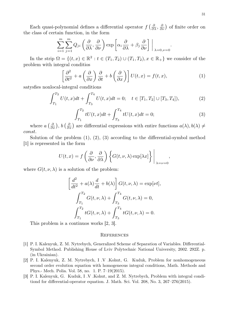Each quasi-polynomial defines a differential operator  $f\left(\frac{\partial}{\partial \lambda}, \frac{\partial}{\partial \nu}\right)$  of finite order on the class of certain function, in the form

$$
\sum_{i=1}^{m} \sum_{j=1}^{m} Q_{ji} \left( \frac{\partial}{\partial \lambda}, \frac{\partial}{\partial \nu} \right) \exp \left[ \alpha_i \frac{\partial}{\partial \lambda} + \beta_j \frac{\partial}{\partial \nu} \right] \Big|_{\lambda=0, \nu=0}.
$$

In the strip  $\Omega = \{(t, x) \in \mathbb{R}^2 : t \in (T_1, T_2) \cup (T_1, T_2), x \in \mathbb{R}_+\}$  we consider of the problem with integral conditios

$$
\left[\frac{\partial^2}{\partial t^2} + a\left(\frac{\partial}{\partial x}\right)\frac{\partial}{\partial t} + b\left(\frac{\partial}{\partial x}\right)\right]U(t, x) = f(t, x),\tag{1}
$$

satysfies nonlocal-integral conditions

$$
\int_{T_1}^{T_2} U(t, x)dt + \int_{T_3}^{T_4} U(t, x)dt = 0; \quad t \in [T_1, T_2] \cup [T_3, T_4]),
$$
\n(2)

$$
\int_{T_1}^{T_2} tU(t, x)dt + \int_{T_3}^{T_4} tU(t, x)dt = 0;
$$
\n(3)

where  $a\left(\frac{\partial}{\partial x}\right)$ ,  $b\left(\frac{\partial}{\partial x}\right)$  are differential expressions with entire functions  $a(\lambda), b(\lambda) \neq 0$ const.

Solution of the problem  $(1)$ ,  $(2)$ ,  $(3)$  according to the differential-symbol method [1] is represented in the form

$$
U(t,x) = f\left(\frac{\partial}{\partial \nu}, \frac{\partial}{\partial \lambda}\right) \left\{G(t, \nu, \lambda) \exp[\lambda x]\right\}\Bigg|_{\lambda = \nu = 0},
$$

where  $G(t, \nu, \lambda)$  is a solution of the problem:

$$
\left[\frac{d^2}{dt^2} + a(\lambda)\frac{d}{dt} + b(\lambda)\right]G(t, \nu, \lambda) = \exp[\nu t],
$$
  

$$
\int_{T_1}^{T_2} G(t, \nu, \lambda) + \int_{T_3}^{T_4} G(t, \nu, \lambda) = 0,
$$
  

$$
\int_{T_1}^{T_2} tG(t, \nu, \lambda) + \int_{T_3}^{T_4} tG(t, \nu, \lambda) = 0.
$$

This problem is a continuos works [2, 3].

- [1] P. I. Kalenyuk, Z. M. Nytrebych, Generalized Scheme of Separation of Variables. Differential-Symbol Method. Publishing House of Lviv Polytechnic National University, 2002. 292Z. p. (in Ukrainian).
- [2] P. I. Kalenyuk, Z. M. Nytrebych, I .V .Kohut, G. Kuduk, Problem for nonhomogeneous second order evolution equation with homogeneous integral conditions, Math. Methods and Phys.- Mech. Polia. Vol. 58, no. 1. P. 7–19(2015).
- [3] P. I. Kalenyuk, G. Kuduk, I .V .Kohut, and Z. M. Nytrebych, Problem with integral conditiond for differential-operator equation. J. Math. Sci. Vol. 208, No. 3, 267–276(2015).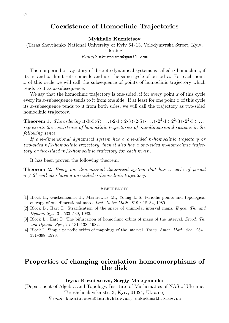### **Coexistence of Homoclinic Trajectories**

**Mykhailo Kuznietsov**

(Taras Shevchenko National University of Kyiv 64/13, Volodymyrska Street, Kyiv, Ukraine)

*E-mail:* mkuzniets@gmail.com

The nonperiodic trajectory of discrete dynamical systems is called  $n$ -homoclinic, if its  $\alpha$ - and  $\omega$ - limit sets coincide and are the same cycle of period n. For each point x of this cycle we will call the subsequence of points of homoclinic trajectory which tends to it as x-subsequence.

We say that the homoclinic trajectory is one-sided, if for every point  $x$  of this cycle every its x-subsequence tends to it from one side. If at least for one point  $x$  of this cycle its x-subsequence tends to it from both sides, we will call the trajectory as two-sided homoclinic trajectory.

**Theorem 1.** *The ordering*  $1 \triangleright 3 \triangleright 5 \triangleright 7 \triangleright ... \triangleright 2 \cdot 1 \triangleright 2 \cdot 3 \triangleright 2 \cdot 5 \triangleright ... \triangleright 2^2 \cdot 3 \triangleright 2^2 \cdot 5 \triangleright ...$ *represents the coexistence of homoclinic trajectories of one-dimensional systems in the following sence.*

*If one-dimensional dynamical system has a one-sided* n*-homoclinic trajectory or two-sided* n/2*-homoclinic trajectory, then it also has a one-sided* m*-homoclinic trajectory or two-sided*  $m/2$ *-homoclinic trajectory for each*  $m \triangleleft n$ *.* 

It has been proven the following theorem.

**Theorem 2.** *Every one-dimensional dynamical system that has a cycle of period*  $n \neq 2^i$  will also have a one-sided n-homoclinic trajectory.

#### **REFERENCES**

- [1] Block L., Guckenheimer J., Misiurewicz M., Young L.-S. Periodic points and topological entropy of one dimensional maps. *Lect. Notes Math.*, 819 : 18–34, 1980.
- [2] Block L., Hart D. Stratification of the space of unimodal interval maps. *Ergod. Th. and Dynam. Sys.*, 3 : 533–539, 1983.
- [3] Block L., Hart D. The bifurcation of homoclinic orbits of maps of the interval. *Ergod. Th. and Dynam. Sys.*, 2 : 131–138, 1982.
- [4] Block L. Simple periodic orbits of mappings of the interval. *Trans. Amer. Math. Soc.*, 254 : 391–398, 1979.

### **Properties of changing orientation homeomorphisms of the disk**

#### **Iryna Kuznietsova, Sergiy Maksymenko**

(Department of Algebra and Topology, Institute of Mathematics of NAS of Ukraine, Tereshchenkivska str. 3, Kyiv, 01024, Ukraine) *E-mail:* kuznietsova@imath.kiev.ua, maks@imath.kiev.ua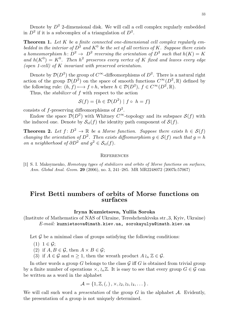Denote by  $D^2$  2-dimensional disk. We will call a cell complex regularly embedded in  $D^2$  if it is a subcomplex of a triangulation of  $D^2$ .

**Theorem 1.** *Let* K *be a finite connected one-dimensional cell complex regularly em*bedded in the interior of  $D^2$  and  $K^0$  be the set of all vertices of K. Suppose there exists *a* homeomorphism  $h: D^2 \to D^2$  reversing the orientation of  $D^2$  such that  $h(K) = K$ and  $h(K^0) = K^0$ . Then  $h^2$  preserves every vertex of K fixed and leaves every edge *(open 1-cell) of* K *invariant with preserved orientation.*

Denote by  $\mathcal{D}(D^2)$  the group of  $C^{\infty}$ -diffeomorphisms of  $D^2$ . There is a natural right action of the group  $\mathcal{D}(D^2)$  on the space of smooth functions  $C^{\infty}(D^2,\mathbb{R})$  defined by the following rule:  $(h, f) \mapsto f \circ h$ , where  $h \in \mathcal{D}(D^2)$ ,  $f \in C^{\infty}(D^2, \mathbb{R})$ .

Thus, the *stabilizer* of f with respect to the action

$$
\mathcal{S}(f) = \{ h \in \mathcal{D}(D^2) \mid f \circ h = f \}
$$

consists of f-preserving diffeomorphisms of  $D^2$ .

Endow the space  $\mathcal{D}(D^2)$  with Whitney  $C^{\infty}$ -topology and its subspace  $\mathcal{S}(f)$  with the induced one. Denote by  $S_{\text{id}}(f)$  the identity path component of  $S(f)$ .

**Theorem 2.** Let  $f: D^2 \to \mathbb{R}$  be a Morse function. Suppose there exists  $h \in \mathcal{S}(f)$ *changing the orientation of*  $D^2$ . Then exists diffeomorphism  $g \in S(f)$  such that  $g = h$ *on a neighborhood of*  $\partial D^2$  *and*  $g^2 \in S_{\text{id}}(f)$ *.* 

#### **REFERENCES**

[1] S. I. Maksymenko, *Homotopy types of stabilizers and orbits of Morse functions on surfaces*, *Ann. Global Anal. Geom.* **29** (2006), no. 3, 241–285. MR MR2248072 (2007k:57067)

### **First Betti numbers of orbits of Morse functions on surfaces**

#### **Iryna Kuznietsova, Yuliia Soroka**

(Institute of Mathematics of NAS of Ukraine, Tereshchenkivska str.,3, Kyiv, Ukraine) *E-mail:* kuznietsova@imath.kiev.ua, sorokayulya@imath.kiev.ua

Let  $\mathcal G$  be a minimal class of groups satisfying the following conditions:

- $(1)$  1  $\in G$ ;
- (2) if  $A, B \in \mathcal{G}$ , then  $A \times B \in \mathcal{G}$ ;
- (3) if  $A \in \mathcal{G}$  and  $n \geq 1$ , then the wreath product  $A \wr_n \mathbb{Z} \in \mathcal{G}$ .

In other words a group  $G$  belongs to the class  $\mathcal G$  iff  $G$  is obtained from trivial group by a finite number of operations  $\times$ ,  $\lambda_n\mathbb{Z}$ . It is easy to see that every group  $G \in \mathcal{G}$  can be written as a word in the alphabet

$$
\mathcal{A} = \{1, \mathbb{Z}, \left( , \right), \times, \wr_{2}, \wr_{3}, \wr_{4}, \dots \}.
$$

We will call such word a *presentation* of the group  $G$  in the alphabet  $A$ . Evidently, the presentation of a group is not uniquely determined.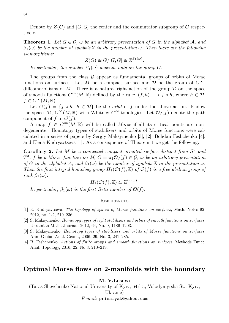Denote by  $Z(G)$  and  $[G, G]$  the center and the commutator subgroup of G respectively.

**Theorem 1.** Let  $G \in \mathcal{G}$ ,  $\omega$  be an arbitrary presentation of G in the alphabet A, and  $\beta_1(\omega)$  be the number of symbols  $\mathbb Z$  *in the presentation*  $\omega$ . Then there are the following *isomorphisms:*

$$
Z(G) \cong G/[G, G] \cong \mathbb{Z}^{\beta_1(\omega)}.
$$

*In particular, the number*  $\beta_1(\omega)$  *depends only on the group*  $G$ *.* 

The groups from the class  $G$  appear as fundamental groups of orbits of Morse functions on surfaces. Let M be a compact surface and D be the group of  $C^{\infty}$ diffeomorphisms of M. There is a natural right action of the group  $\mathcal D$  on the space of smooth functions  $C^{\infty}(M,\mathbb{R})$  defined by the rule:  $(f,h) \longmapsto f \circ h$ , where  $h \in \mathcal{D}$ ,  $f \in C^{\infty}(M,\mathbb{R}).$ 

Let  $\mathcal{O}(f) = \{f \circ h \mid h \in \mathcal{D}\}\$ be the *orbit* of f under the above action. Endow the spaces  $\mathcal{D}, C^{\infty}(M,\mathbb{R})$  with Whitney  $C^{\infty}$ -topologies. Let  $\mathcal{O}_f(f)$  denote the path component of f in  $\mathcal{O}(f)$ .

A map  $f \in C^{\infty}(M,\mathbb{R})$  will be called *Morse* if all its critical points are nondegenerate. Homotopy types of stabilizers and orbits of Morse functions were calculated in a series of papers by Sergiy Maksymenko [3], [2], Bohdan Feshchenko [4], and Elena Kudryavtseva [1]. As a consequence of Theorem 1 we get the following.

**Corollary 2.** *Let* M *be a connected compact oriented surface distinct from* S 2 *and*  $T^2$ , f *be a Morse function on M*,  $G = \pi_1 \mathcal{O}_f(f) \in \mathcal{G}$ ,  $\omega$  *be an arbitrary presentation of* G *in the alphabet* A, and  $\beta_1(\omega)$  *be the number of symbols* Z *in the presentation*  $\omega$ *. Then the first integral homology group*  $H_1(\mathcal{O}(f), \mathbb{Z})$  *of*  $\mathcal{O}(f)$  *is a free abelian group of rank*  $\beta_1(\omega)$ *:* 

$$
H_1(\mathcal{O}(f),\mathbb{Z})\simeq \mathbb{Z}^{\beta_1(\omega)}.
$$

*In particular,*  $\beta_1(\omega)$  *is the first Betti number of*  $\mathcal{O}(f)$ *.* 

#### **REFERENCES**

- [1] E. Kudryavtseva. *The topology of spaces of Morse functions on surfaces*, Math. Notes 92, 2012, no. 1-2, 219–236.
- [2] S. Maksymenko. *Homotopy types of right stabilizers and orbits of smooth functions on surfaces*. Ukrainian Math. Journal, 2012, 64, No. 9, 1186–1203.
- [3] S. Maksymenko. *Homotopy types of stabilizers and orbits of Morse functions on surfaces*. Ann. Global Anal. Geom., 2006, 29, No. 3, 241–285.
- [4] B. Feshchenko. *Actions of finite groups and smooth functions on surfaces*. Methods Funct. Anal. Topology, 2016, 22, No.3, 210–219.

### **Optimal Morse flows on 2-manifolds with the boundary**

#### **M. V.Loseva**

(Taras Shevchenko National University of Kyiv, 64/13, Volodymyrska St., Kyiv, Ukraine)

*E-mail:* prishlyak@yahoo.com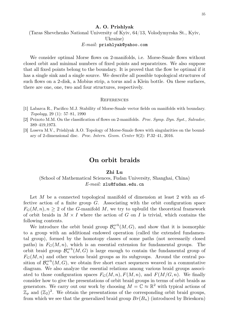#### **A. O. Prishlyak**

(Taras Shevchenko National University of Kyiv, 64/13, Volodymyrska St., Kyiv, Ukraine)

#### *E-mail:* prishlyak@yahoo.com

We consider optimal Morse flows on 2-manifolds, i.e. Morse-Smale flows without closed orbit and minimal numbers of fixed points and separatrixes. We also suppose that all fixed points belong to the boundary. It is proved that the flow be optimal if it has a single sink and a single source. We describe all possible topological structures of such flows on a 2-disk, a Mobius strip, a torus and a Klein bottle. On these surfaces, there are one, one, two and four structures, respectively.

#### **REFERENCES**

- [1] Labarca R., Pacifico M.J. Stability of Morse-Smale vector fields on manifolds with boundary. *Topology*, 29 (1): 57–81, 1990
- [2] Peixoto M.M. On the classification of flows on 2-manifolds. *Proc. Symp. Dyn. Syst., Salvador,* 389–419,1973.
- [3] Loseva M.V., Prishlyak A.O. Topology of Morse-Smale flows with singularities on the boundary of 2-dimensional disc. *Proc. Intern. Geom. Center* 9(2): P.32–41, 2016.

### **On orbit braids**

#### **Zhi Lu**

### (School of Mathematical Sciences, Fudan University, Shanghai, China) *E-mail:* zlu@fudan.edu.cn

Let  $M$  be a connected topological manifold of dimension at least 2 with an effective action of a finite group  $G$ . Associating with the orbit configuration space  $F_G(M, n), n \geq 2$  of the G-manifold M, we try to upbuild the theoretical framework of orbit braids in  $M \times I$  where the action of G on I is trivial, which contains the following contents.

We introduce the orbit braid group  $\mathcal{B}_n^{orb}(M, G)$ , and show that it is isomorphic to a group with an additional endowed operation (called the extended fundamental group), formed by the homotopy classes of some paths (not necessarily closed paths) in  $F_G(M, n)$ , which is an essential extension for fundamental groups. The orbit braid group  $\mathcal{B}_n^{orb}(M, G)$  is large enough to contain the fundamental group of  $F_G(M, n)$  and other various braid groups as its subgroups. Around the central position of  $\mathcal{B}_n^{orb}(M, G)$ , we obtain five short exact sequences weaved in a commutative diagram. We also analyze the essential relations among various braid groups associated to those configuration spaces  $F_G(M, n)$ ,  $F(M, n)$ , and  $F(M/G, n)$ . We finally consider how to give the presentations of orbit braid groups in terms of orbit braids as generators. We carry out our work by choosing  $M = \mathbb{C} \approx \mathbb{R}^2$  with typical actions of  $\mathbb{Z}_p$  and  $(\mathbb{Z}_2)^2$ . We obtain the presentations of the corresponding orbit braid groups, from which we see that the generalized braid group  $Br(B_n)$  (introduced by Brieskorn)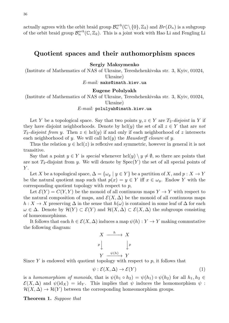actually agrees with the orbit braid group  $\mathcal{B}_n^{orb}(\mathbb{C}\setminus\{0\}, \mathbb{Z}_2)$  and  $Br(D_n)$  is a subgroup of the orbit braid group  $\mathcal{B}_n^{orb}(\mathbb{C}, \mathbb{Z}_2)$ . This is a joint work with Hao Li and Fengling Li

### **Quotient spaces and their authomorphism spaces**

**Sergiy Maksymenko**

(Institute of Mathematics of NAS of Ukraine, Tereshchenkivska str. 3, Kyiv, 01024, Ukraine)

*E-mail:* maks@imath.kiev.ua

#### **Eugene Polulyakh**

(Institute of Mathematics of NAS of Ukraine, Tereshchenkivska str. 3, Kyiv, 01024, Ukraine)

*E-mail:* polulyah@imath.kiev.ua

Let Y be a topological space. Say that two points  $y, z \in Y$  are  $T_2$ -disjoint in Y if they have disjoint neighborhoods. Denote by hcl(y) the set of all  $z \in Y$  that are *not*  $T_2$ -disjoint from y. Then  $z \in \text{hcl}(y)$  if and only if each neighborhood of z intersects each neighborhood of y. We will call hcl(y) the *Hausdorff closure* of y.

Thus the relation  $y \in \text{hcl}(z)$  is reflexive and symmetric, however in general it is not transitive.

Say that a point  $y \in Y$  is *special* whenever  $\text{hcl}(y) \setminus y \neq \emptyset$ , so there are points that are not  $T_2$ -disjoint from y. We will denote by  $Spec(Y)$  the set of all special points of  $Y$ .

Let X be a topological space,  $\Delta = {\omega_y \mid y \in Y}$  be a partition of X, and  $p: X \to Y$ be the natural quotient map such that  $p(x) = y \in Y$  iff  $x \in \omega_y$ . Endow Y with the corresponding quotient topology with respect to  $p$ ,

Let  $\mathcal{E}(Y) = C(Y, Y)$  be the monoid of all continuous maps  $Y \to Y$  with respect to the natural composition of maps, and  $\mathcal{E}(X,\Delta)$  be the monoid of all continuous maps  $h: X \to X$  preserving  $\Delta$  in the sense that  $h(\omega)$  is contained in some leaf of  $\Delta$  for each  $\omega \in \Delta$ . Denote by  $\mathcal{H}(Y) \subset \mathcal{E}(Y)$  and  $\mathcal{H}(X, \Delta) \subset \mathcal{E}(X, \Delta)$  the subgroups consisting of homeomorphisms.

It follows that each  $h \in \mathcal{E}(X, \Delta)$  induces a map  $\psi(h) : Y \to Y$  making commutative the following diagram:

$$
X \xrightarrow{h} X
$$
\n
$$
p \downarrow \qquad \qquad \downarrow p
$$
\n
$$
Y \xrightarrow{\psi(h)} Y
$$

Since Y is endowed with quotient topology with respect to  $p$ , it follows that

$$
\psi: \mathcal{E}(X, \Delta) \to \mathcal{E}(Y) \tag{1}
$$

is a *homomorphism of monoids*, that is  $\psi(h_1 \circ h_2) = \psi(h_1) \circ \psi(h_2)$  for all  $h_1, h_2 \in$  $\mathcal{E}(X,\Delta)$  and  $\psi(\mathrm{id}_X) = \mathrm{id}_Y$ . This implies that  $\psi$  induces the homomorphism  $\psi$ :  $\mathcal{H}(X,\Delta) \to \mathcal{H}(Y)$  between the corresponding homeomorphism groups.

**Theorem 1.** *Suppose that*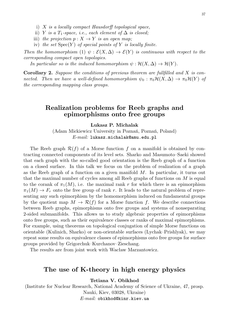- i) X *is a locally compact Hausdorff topological space,*
- ii) Y *is a*  $T_1$ -space, *i.e.*, each element of  $\Delta$  *is closed*;
- iii) *the projection*  $p: X \to Y$  *is an open map*;
- iv) *the set*  $Spec(Y)$  *of special points of* Y *is locally finite.*

*Then the homomorphism* (1)  $\psi$  :  $\mathcal{E}(X, \Delta) \rightarrow \mathcal{E}(Y)$  *is continuous with respect to the corresponding compact open topologies.*

*In particular so is the induced homomorphism*  $\psi : \mathcal{H}(X, \Delta) \to \mathcal{H}(Y)$ *.* 

**Corollary 2.** *Suppose the conditions of previous theorem are fullfilled and* X *is connected. Then we have a well-defined homomorphism*  $\psi_0 : \pi_0 \mathcal{H}(X, \Delta) \to \pi_0 \mathcal{H}(Y)$  *of the corresponding mapping class groups.*

### **Realization problems for Reeb graphs and epimorphisms onto free groups**

**Lukasz P. Michalak**

(Adam Mickiewicz University in Poznań, Poznań, Poland) *E-mail:* lukasz.michalak@amu.edu.pl

The Reeb graph  $\mathcal{R}(f)$  of a Morse function f on a manifold is obtained by contracting connected components of its level sets. Sharko and Masumoto–Saeki showed that each graph with the so-called good orientation is the Reeb graph of a function on a closed surface. In this talk we focus on the problem of realization of a graph as the Reeb graph of a function on a given manifold M. In particular, it turns out that the maximal number of cycles among all Reeb graphs of functions on M is equal to the corank of  $\pi_1(M)$ , i.e. the maximal rank r for which there is an epimorphism  $\pi_1(M) \to F_r$  onto the free group of rank r. It leads to the natural problem of representing any such epimorphism by the homomorphism induced on fundamental groups by the quotient map  $M \to \mathcal{R}(f)$  for a Morse function f. We describe connections between Reeb graphs, epimorphisms onto free groups and systems of nonseparating 2-sided submanifolds. This allows us to study algebraic properties of epimorphisms onto free groups, such as their equivalence classes or ranks of maximal epimorphisms. For example, using theorems on topological conjugation of simple Morse functions on orientable (Kulinich, Sharko) or non-orientable surfaces (Lychak–Prishlyak), we may repeat some results on equivalence classes of epimorphisms onto free groups for surface groups provided by Grigorchuk–Kurchanov–Zieschang.

The results are from joint work with Wacław Marzantowicz.

### **The use of K-theory in high energy physics**

**Tetiana V. Obikhod**

(Institute for Nuclear Research, National Academy of Science of Ukraine, 47, prosp. Nauki, Kiev, 03028, Ukraine) *E-mail:* obikhod@kinr.kiev.ua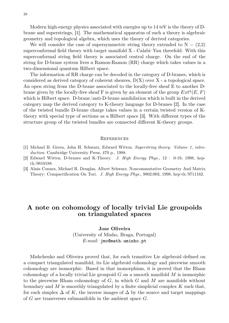Modern high-energy physics associated with energies up to 14 teV is the theory of Dbrane and superstrings, [1]. The mathematical apparatus of such a theory is algebraic geometry and topological algebra, which uses the theory of derived categories.

We will consider the case of supersymmetric string theory extended to  $N = (2,2)$ superconformal field theory with target manifold X - Calabi–Yau threefold. With this superconformal string field theory is associated central charge. On the end of the string for D-brane system lives a Ramon-Ramon (RR) charge which takes values in a two-dimensional quantum Hilbert space.

The information of RR charge can be decoded in the category of D-branes, which is considered as derived category of coherent sheaves, D(X) over X - a topological space. An open string from the D-brane associated to the locally-free sheaf E to another Dbrane given by the locally-free sheaf F is given by an element of the group  $Ext^q(E, F)$ which is Hilbert space. D-brane/anti-D-brane annihilation which is built in the derived category map the derived category to K-theory language for D-branes [2]. In the case of the twisted bundle D-brane charge takes values in a certain twisted version of Ktheory with special type of sections as a Hilbert space [3]. With different types of the structure group of the twisted bundles are connected different K-theory groups.

#### **REFERENCES**

- [1] Michael B. Green, John H. Schwarz, Edward Witten. *Superstring theory: Volume 1, introduction.* Cambridge University Press, 470 p., 1988.
- [2] Edward Witten. D-branes and K-Theory. *J. High Energy Phys.*, 12 : 0-19, 1998, hepth/9810188.
- [3] Alain Connes, Michael R. Douglas, Albert Schwarz. Noncommutative Geometry And Matrix Theory: Compactification On Tori. *J. High Energy Phys.*, 9802:003, 1998, hep-th/9711162.

### **A note on cohomology of locally trivial Lie groupoids on triangulated spaces**

### **Jose Oliveira** (University of Minho, Braga, Portugal) *E-mail:* jmo@math.uminho.pt

Mishchenko and Oliveira proved that, for each transitive Lie algebroid defined on a compact triangulated manifold, its Lie algebroid cohomology and piecewise smooth cohomology are isomorphic. Based in that isomorphism, it is proved that the Rham cohomology of a locally trivial Lie groupoid  $G$  on a smooth manifold  $M$  is isomorphic to the piecewise Rham cohomology of  $G$ , in which  $G$  and  $M$  are manifolds without boundary and M is smoothly triangulated by a finite simplicial complex  $K$  such that, for each simplex  $\Delta$  of K, the inverse images of  $\Delta$  by the source and target mappings of  $G$  are transverses submanifolds in the ambient space  $G$ .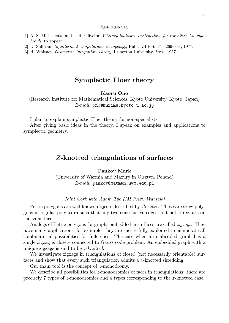#### **REFERENCES**

- [1] A. S. Mishchenko and J. R. Oliveira. *Whitney-Sullivan constructions for transitive Lie algebroids*, to appear.
- [2] D. Sullivan. *Infinitesimal computations in topology*, Publ. I.H.E.S. 47 : 269–331, 1977.
- [3] H. Whitney. *Geometric Integration Theory*, Princeton University Press, 1957.

# **Symplectic Floer theory**

#### **Kaoru Ono**

(Research Institute for Mathematical Sciences, Kyoto University, Kyoto, Japan) *E-mail:* ono@kurims.kyoto-u.ac.jp

I plan to explain symplectic Floer theory for non-specialists.

After giving basic ideas in the theory, I speak on examples and applications to symplectic geometry.

### Z**-knotted triangulations of surfaces**

**Pankov Mark**

(University of Warmia and Mazury in Olsztyn, Poland) *E-mail:* pankov@matman.uwm.edu.pl

#### *Joint work with Adam Tyc (IM PAN, Warsaw)*

Petrie polygons are well-known objects described by Coxeter. These are skew polygons in regular polyhedra such that any two consecutive edges, but not three, are on the same face.

Analogs of Petrie polygons for graphs embedded in surfaces are called *zigzags*. They have many applications, for example, they are successfully exploited to enumerate all combinatorial possibilities for fullerenes. The case when an embedded graph has a single zigzag is closely connected to Gauss code problem. An embedded graph with a unique zigzags is said to be z-*knotted*.

We investigate zigzags in triangulations of closed (not necessarily orientable) surfaces and show that every such triangulation admits a z-knotted shredding.

Our main tool is the concept of z-monodromy.

We describe all possibilities for z-monodromies of faces in triangulations: there are precisely 7 types of z-monodromies and 4 types corresponding to the z-knotted case.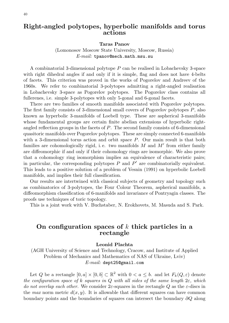### **Right-angled polytopes, hyperbolic manifolds and torus actions**

**Taras Panov**

(Lomonosov Moscow State University, Moscow, Russia) *E-mail:* tpanov@mech.math.msu.su

A combinatorial 3-dimensional polytope P can be realised in Lobachevsky 3-space with right dihedral angles if and only if it is simple, flag and does not have 4-belts of facets. This criterion was proved in the works of Pogorelov and Andreev of the 1960s. We refer to combinatorial 3-polytopes admitting a right-angled realisation in Lobachevsky 3-space as Pogorelov polytopes. The Pogorelov class contains all fullerenes, i.e. simple 3-polytopes with only 5-gonal and 6-gonal facets.

There are two families of smooth manifolds associated with Pogorelov polytopes. The first family consists of 3-dimensional small covers of Pogorelov polytopes P, also known as hyperbolic 3-manifolds of Loebell type. These are aspherical 3-manifolds whose fundamental groups are certain finite abelian extensions of hyperbolic rightangled reflection groups in the facets of P. The second family consists of 6-dimensional quasitoric manifolds over Pogorelov polytopes. These are simply connected 6-manifolds with a 3-dimensional torus action and orbit space P. Our main result is that both families are cohomologically rigid, i.e. two manifolds  $M$  and  $M'$  from either family are diffeomorphic if and only if their cohomology rings are isomorphic. We also prove that a cohomology ring isomorphism implies an equivalence of characteristic pairs; in particular, the corresponding polytopes  $P$  and  $P'$  are combinatorially equivalent. This leads to a positive solution of a problem of Vesnin (1991) on hyperbolic Loebell manifolds, and implies their full classification.

Our results are intertwined with classical subjects of geometry and topology such as combinatorics of 3-polytopes, the Four Colour Theorem, aspherical manifolds, a diffeomorphism classification of 6-manifolds and invariance of Pontryagin classes. The proofs use techniques of toric topology.

This is a joint work with V. Buchstaber, N. Erokhovets, M. Masuda and S. Park.

# **On configuration spaces of** k **thick particles in a rectangle**

#### **Leonid Plachta**

(AGH University of Science and Technology, Cracow, and Institute of Applied Problem of Mechanics and Mathematics of NAS of Ukraine, Lviv) *E-mail:* dept25@gmail.com

Let Q be a rectangle  $[0, a] \times [0, b] \subset \mathbb{R}^2$  with  $0 < a \leq b$ , and let  $F_k(Q, \varepsilon)$  denote *the configuration space of* k *squares in* Q *with all sides of the same length* 2ε*, which do not overlap each other.* We consider  $2\varepsilon$ -squares in the rectangle Q as the  $\varepsilon$ -discs in the *max* norm metric  $d(x, y)$ . It is allowable that different squares can have common boundary points and the boundaries of squares can intersect the boundary  $\partial Q$  along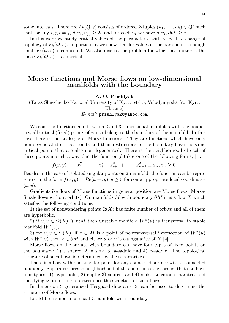some intervals. Therefore  $F_k(Q, \varepsilon)$  consists of ordered k-tuples  $(u_1, \ldots, u_k) \in Q^k$  such that for any  $i, j, i \neq j$ ,  $d(u_i, u_j) \geq 2\varepsilon$  and for each  $u_i$  we have  $d(u_i, \partial Q) \geq \varepsilon$ .

In this work we study critical values of the parameter  $\varepsilon$  with respect to change of topology of  $F_k(Q, \varepsilon)$ . In particular, we show that for values of the parameter  $\varepsilon$  enough small  $F_k(Q, \varepsilon)$  is connected. We also discuss the problem for which parameters  $\varepsilon$  the space  $F_k(Q, \varepsilon)$  is aspherical.

### **Morse functions and Morse flows on low-dimensional manifolds with the boundary**

#### **A. O. Prishlyak**

(Taras Shevchenko National University of Kyiv, 64/13, Volodymyrska St., Kyiv, Ukraine)

#### *E-mail:* prishlyak@yahoo.com

We consider functions and flows on 2 and 3-dimensional manifolds with the boundary, all critical (fixed) points of which belong to the boundary of the manifold. In this case there is the analogue of Morse functions. They are functions which have only non-degenerated critical points and their restrictions to the boundary have the same critical points that are also non-degenerated. There is the neighborhood of each of these points in such a way that the function  $f$  takes one of the following forms, [1]:

 $f(x,y) = -x_1^2 - ... - x_i^2 + x_{i+1}^2 + ... + x_{n-1}^2 \pm x_n, x_n \ge 0.$ 

Besides in the case of isolated singular points on 2-manifold, the function can be represented in the form  $f(x, y) = Re(x + iy), y \ge 0$  for some appropriate local coordinates  $(x, y)$ .

Gradient-like flows of Morse functions in general position are Morse flows (Morse-Smale flows without orbits). On manifolds M with boundary  $\partial M$  it is a flow X which satisfies the following conditions:

1) the set of nonwandering points  $\Omega(X)$  has finite number of orbits and all of them are hyperbolic,

2) if  $u, v \in \Omega(X) \cap \text{Int}M$  then unstable manifold  $W^u(u)$  is transversal to stable manifold  $W^s(v)$ ,

3) for  $u, v \in \Omega(X)$ , if  $x \in M$  is a point of nontransversal intersection of  $W^u(u)$ with  $W^{s}(v)$  then  $x \in \partial M$  and either u or v is a singularity of X [2].

Morse flows on the surface with boundary can have four types of fixed points on the boundary: 1) a source, 2) a sink, 3) a-saddle and 4) b-saddle. The topological structure of such flows is determined by the separatrixes.

There is a flow with one singular point for any connected surface with a connected boundary. Separatrix breaks neighborhood of this point into the corners that can have four types: 1) hyperbolic, 2) eliptic 3) sources and 4) sink. Location separatrix and specifying types of angles determines the structure of such flows.

In dimension 3 generalized Heegaard diagrams [3] can be used to determine the structure of Morse flows.

Let M be a smooth compact 3-manifold with boundary.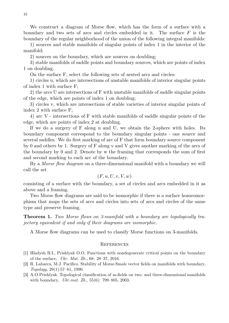We construct a diagram of Morse flow, which has the form of a surface with a boundary and two sets of arcs and circles embedded in it. The surface  $F$  is the boundary of the regular neighborhood of the union of the following integral manifolds:

1) sources and stable manifolds of singular points of index 1 in the interior of the manifold;

2) sources on the boundary, which are sources on doubling;

3) stable manifolds of saddle points and boundary sources, which are points of index 1 on doubling.

On the surface F, select the following sets of nested arcs and circles:

1) circles u, which are intersections of unstable manifolds of interior singular points of index 1 with surface F;

2) the arcs U are intersections of F with unstable manifolds of saddle singular points of the edge, which are points of index 1 on doubling;

3) circles v, which are intersections of stable varieties of interior singular points of index 2 with surface F;

4) arc V - intersections of F with stable manifolds of saddle singular points of the edge, which are points of index 2 at doubling.

If we do a surgery of F along u and U, we obtain the 2-sphere with holes. Its boundary component correspond to the boundary singular points - one source and several saddles. We do first marking of arc of F that form boundary source component by 0 and others by 1. Surgery of F along v and V gives another marking of the arcs of the boundary by 0 and 2. Denote by w the framing that corresponds the sum of first and second marking to each arc of the boundary.

By a *Morse flow diagram* on a three-dimensional manifold with a boundary we will call the set

$$
(F, u, U, v, V, w)
$$

consisting of a surface with the boundary, a set of circles and arcs embedded in it as above and a framing.

Two Morse flow diagrams are said to be isomorphic if there is a surface homeomorphism that maps the sets of arcs and circles into sets of arcs and circles of the same type and preserve framing.

**Theorem 1.** *Two Morse flows on 3-manifold with a boundary are topologically trajectory equivalent if and only if their diagrams are isomorphic.*

A Morse flow diagrams can be used to classify Morse functions on 3-manifolds.

- [1] Hladysh B.I., Prishlyak O.O. Functions with nondegenerate critical points on the boundary of the surface, *Ukr. Mat. Zh.*, 68: 28–37, 2016.
- [2] R. Labarca, M.J. Pacifico. Stability of Morse-Smale vector fields on manifolds with boundary, *Topology*, 29(1):57–81, 1990.
- [3] A.O.Prishlyak. Topological classification of m-fields on two- and three-dimensional manifolds with boundary, *Ukr.mat. Zh.*, 55(6): 799–805, 2003.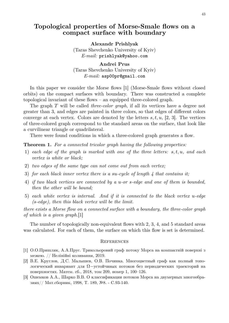### **Topological properties of Morse-Smale flows on a compact surface with boundary**

**Alexandr Prishlyak** (Taras Shevchenko University of Kyiv) *E-mail:* prishlyak@yahoo.com

**Andrei Prus** (Taras Shevchenko University of Kyiv) *E-mail:* asp00pr@gmail.com

In this paper we consider the Morse flows [1] (Morse-Smale flows without closed orbits) on the compact surfaces with boundary. There was constructed a complete topological invariant of these flows – an equipped three-colored graph.

The graph T will be called *three-color graph*, if all its vertices have a degree not greater than 3, and edges are painted in three colors, so that edges of different colors converge at each vertex. Colors are denoted by the letters  $s, t, u, [2, 3]$ . The vertices of three-colored graph correspond to the standard areas on the surface, that look like a curvilinear triangle or quadrilateral.

There were found conditions in which a three-colored graph generates a flow.

**Theorem 1.** *For a connected tricolor graph having the following properties:*

- 1) *each edge of the graph is marked with one of the three letters:* s, t, u*, and each vertex is white or black;*
- 2) *two edges of the same type can not come out from each vertex;*
- 3) *for each black inner vertex there is a* su*-cycle of length 4 that contains it;*
- 4) *if two black vertices are connected by a* u*-or* s*-edge and one of them is bounded, then the other will be bound;*
- 5) *each white vertex is internal. And if it is connected to the black vertex* u*-edge (*s*-edge), then this black vertex will be the limit.*

*there exists a Morse flow on a connected surface with a boundary, the three-color graph of which is a given graph.*[1]

The number of topologically non-equivalent flows with 2, 3, 4, and 5 standard areas was calculated. For each of them, the surface on which this flow is set is determined.

- [1] О.О.Пришляк, А.А.Прус. Трикольоровий граф потоку Морса на компактній поверхні з межею. // Нелінійні коливання, 2019.
- [2] В.Е. Круглов, Д.С. Малышев, О.В. Починка. Многоцветный граф как полный топологический инвариант для Ω−устойчивых потоков без периодических траекторий на поверхностях. Матем. сб., 2018, том 209, номер 1, 100–126.
- [3] Ошемков А.А., Шарко В.В. О классификации потоков Морса на двумерных многообразиях// Мат.сборник, 1998, Т. 189, №8. - С.93-140.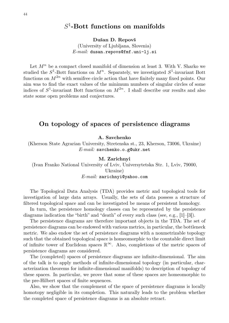# S 1 **-Bott functions on manifolds**

**Dušan D. Repovš**

(University of Ljubljana, Slovenia) *E-mail:* dusan.repovs@fmf.uni-lj.si

Let  $M^n$  be a compact closed manifold of dimension at least 3. With V. Sharko we studied the  $S^1$ -Bott functions on  $M^n$ . Separately, we investigated  $S^1$ -invariant Bott functions on  $M^{2n}$  with semifree circle action that have finitely many fixed points. Our aim was to find the exact values of the minimum numbers of singular circles of some indices of  $S^1$ -invariant Bott functions on  $M^{2n}$ . I shall describe our results and also state some open problems and conjectures.

### **On topology of spaces of persistence diagrams**

**A. Savchenko**

(Kherson State Agrarian University, Stretenska st., 23, Kherson, 73006, Ukraine) *E-mail:* savchenko.o.g@ukr.net

#### **M. Zarichnyi**

(Ivan Franko National University of Lviv, Universytetska Str. 1, Lviv, 79000, Ukraine) *E-mail:* zarichnyi@yahoo.com

The Topological Data Analysis (TDA) provides metric and topological tools for investigation of large data arrays. Usually, the sets of data possess a structure of filtered topological space and can be investigated be means of persistent homology.

In turn, the persistence homology classes can be represented by the persistence diagrams indication the "birth" and "death" of every such class (see, e.g., [1]–[3]).

The persistence diagrams are therefore important objects in the TDA. The set of persistence diagrams can be endowed with various metrics, in particular, the bottleneck metric. We also endow the set of persistence diagrams with a nonmetrizable topology such that the obtained topological space is homeomorphic to the countable direct limit of infinite tower of Euclidean spaces  $\mathbb{R}^{\infty}$ . Also, completions of the metric spaces of persistence diagrams are considered.

The (completed) spaces of persistence diagrams are infinite-dimensional. The aim of the talk is to apply methods of infinite-dimensional topology (in particular, characterization theorems for infinite-dimensional manifolds) to description of topology of these spaces. In particular, we prove that some of these spaces are homeomorphic to the pre-Hilbert spaces of finite sequences.

Also, we show that the complement of the space of persistence diagrams is locally homotopy negligible in its completion. This naturally leads to the problem whether the completed space of persistence diagrams is an absolute retract.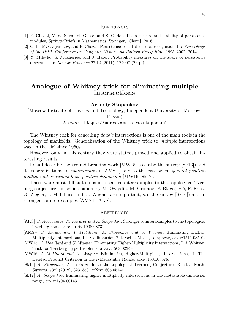#### **REFERENCES**

- [1] F. Chazal, V. de Silva, M. Glisse, and S. Oudot. The structure and stability of persistence modules, SpringerBriefs in Mathematics, Springer, [Cham], 2016.
- [2] C. Li, M. Ovsjanikov, and F. Chazal. Persistence-based structural recognition. In: *Proceedings of the IEEE Conference on Computer Vision and Pattern Recognition*, 1995–2002, 2014.
- [3] Y. Mileyko, S. Mukherjee, and J. Harer. Probability measures on the space of persistence diagrams. In: *Inverse Problems* 27.12 (2011), 124007 (22 p.)

### **Analogue of Whitney trick for eliminating multiple intersections**

#### **Arkadiy Skopenkov**

(Moscow Institute of Physics and Technology, Independent University of Moscow, Russia)

#### *E-mail:* https://users.mccme.ru/skopenko/

The Whitney trick for cancelling *double* intersections is one of the main tools in the topology of manifolds. Generalization of the Whitney trick to *multiple* intersections was 'in the air' since 1960s.

However, only in this century they were stated, proved and applied to obtain interesting results.

I shall describe the ground-breaking work [MW15] (see also the survey [Sk16]) and its generalizations to *codimension 2* [AMS+] and to the case when *general position multiple intersections have positive dimension* [MW16, Sk17].

These were most difficult steps in recent counterexamples to the topological Tverberg conjecture (for which papers by M. Özaydin, M. Gromov, P. Blagojević, F. Frick, G. Ziegler, I. Mabillard and U. Wagner are important, see the survey [Sk16]) and in stronger counterexamples [AMS+, AKS].

- [AKS] *S. Avvakumov, R. Karasev and A. Skopenkov.* Stronger counterexamples to the topological Tverberg conjecture, arxiv:1908.08731.
- [AMS+] *S. Avvakumov, I. Mabillard, A. Skopenkov and U. Wagner.* Eliminating Higher-Multiplicity Intersections, III. Codimension 2, Israel J. Math., to appear, arxiv:1511.03501.
- [MW15] *I. Mabillard and U. Wagner.* Eliminating Higher-Multiplicity Intersections, I. A Whitney Trick for Tverberg-Type Problems. arXiv:1508.02349.
- [MW16] *I. Mabillard and U. Wagner.* Eliminating Higher-Multiplicity Intersections, II. The Deleted Product Criterion in the r-Metastable Range. arxiv:1601.00876.
- [Sk16] *A. Skopenkov,* A user's guide to the topological Tverberg Conjecture, Russian Math. Surveys, 73:2 (2018), 323–353. arXiv:1605.05141.
- [Sk17] *A. Skopenkov,* Eliminating higher-multiplicity intersections in the metastable dimension range, arxiv:1704.00143.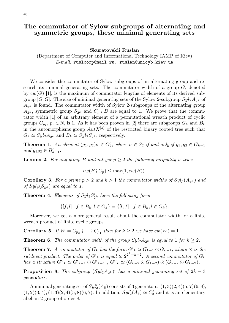#### 46

### **The commutator of Sylow subgroups of alternating and symmetric groups, these minimal generating sets**

#### **Skuratovskii Ruslan**

(Department of Computer and Informational Technology IAMP of Kiev) *E-mail:* ruslcomp@mail.ru, ruslan@unicyb.kiev.ua

We consider the commutator of Sylow subgroups of an alternating group and research its minimal generating sets. The commutator width of a group  $G$ , denoted by  $cw(G)$  [1], is the maximum of commutator lengths of elements of its derived subgroup  $[G, G]$ . The size of minimal generating sets of the Sylow 2-subgroup  $Syl_2A_{2^k}$  of  $A_{2^k}$  is found. The commutator width of Sylow 2-subgroups of the alternating group  $A_{2^k}$ , symmetric group  $S_{2^k}$  and  $C_p \n\wr B$  are equal to 1. We prove that the commutator width [1] of an arbitrary element of a permutational wreath product of cyclic groups  $C_{p_i}, p_i \in \mathbb{N}$ , is 1. As it has been proven in [2] there are subgroups  $G_k$  and  $B_k$ in the automorphisms group  $Aut X^{[k]}$  of the restricted binary rooted tree such that  $G_k \simeq Syl_2 A_{2^k}$  and  $B_k \simeq Syl_2 S_{2^k}$ , respectively.

**Theorem 1.** An element  $(g_1, g_2) \sigma \in G'_k$ , where  $\sigma \in S_2$  if and only if  $g_1, g_2 \in G_{k-1}$  $and\ g_1g_2 \in B'_{k-1}.$ 

**Lemma 2.** For any group B and integer  $p \geq 2$  the following inequality is true:

$$
cw(B \wr C_p) \le \max(1, cw(B)).
$$

**Corollary 3.** For a prime  $p > 2$  and  $k > 1$  the commutator widths of  $Syl_p(A_{nk})$  and *of*  $Syl_p(S_{pk})$  *are equal to 1.* 

**Theorem 4.** *Elements of*  $Syl_2S'_{2^k}$  *have the following form:* 

$$
\{[f, l] \mid f \in B_k, l \in G_k\} = \{[l, f] \mid f \in B_k, l \in G_k\}.
$$

Moreover, we get a more general result about the commutator width for a finite wreath product of finite cyclic groups.

**Corollary 5.** *If*  $W = C_{p_k} \cup \ldots \cup C_{p_1}$  then for  $k \geq 2$  *we have*  $cw(W) = 1$ *.* 

**Theorem 6.** *The commutator width of the group*  $Syl_2A_{2^k}$  *is equal to* 1 *for*  $k \geq 2$ *.* 

**Theorem 7.** *A commutator of*  $G_k$  *has the form*  $G'_{k} \simeq G_{k-1} \odot G_{k-1}$ *, where*  $\odot$  *is the subdirect product. The order of*  $G'_{k}$  *is equal to*  $2^{2^{k}-k-2}$ *. A second commutator of*  $G_{k}$ *has a structure*  $G''_k \simeq G'_{k-1} \odot G'_{k-1}$ ,  $G''_k \simeq (G_{k-2} \odot G_{k-2}) \odot (G_{k-2} \odot G_{k-2})$ ,

**Proposition 8.** *The subgroup*  $(Syl_2A_{2^k})'$  *has a minimal generating set of*  $2k-3$ *generators.*

A minimal generating set of  $Syl_2'(A_8)$  consists of 3 generators:  $(1,3)(2,4)(5,7)(6,8)$ ,  $(1, 2)(3, 4), (1, 3)(2, 4)(5, 8)(6, 7)$ . In addition,  $Syl'_2(A_8) \simeq C_2^3$  and it is an elementary abelian 2-group of order 8.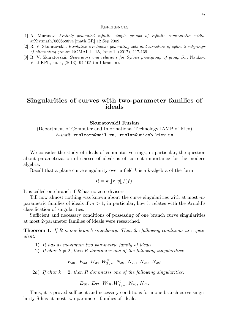#### **REFERENCES**

- [1] A. Muranov. *Finitely generated infinite simple groups of infinite commutator width*, arXiv:math/0608688v4 [math.GR] 12 Sep 2009.
- [2] R. V. Skuratovskii. *Involutive irreducible generating sets and structure of sylow 2-subgroups of alternating groups*, ROMAI J., **13**, Issue 1, (2017), 117-139.
- [3] R. V. Skuratovskii. *Generators and relations for Sylows p-subgroup of group*  $S_n$ , Naukovi Visti KPI., no. 4, (2013), 94-105 (in Ukranian).

### **Singularities of curves with two-parameter families of ideals**

**Skuratovskii Ruslan**

(Department of Computer and Informational Technology IAMP of Kiev) *E-mail:* ruslcomp@mail.ru, ruslan@unicyb.kiev.ua

We consider the study of ideals of commutative rings, in particular, the question about parametrization of classes of ideals is of current importance for the modern algebra.

Recall that a plane curve singularity over a field  $k$  is a  $k$ -algebra of the form

$$
R = k[[x, y]]/(f).
$$

It is called one branch if R has no zero divisors.

Till now almost nothing was known about the curve singularities with at most mparametric families of ideals if  $m > 1$ , in particular, how it relates with the Arnold's classification of singularities.

Sufficient and necessary conditions of possessing of one branch curve singularities at most 2-parameter families of ideals were researched.

**Theorem 1.** If R is one branch singularity. Then the following conditions are equiv*alent:*

- 1) R *has as maximum two parametric family of ideals.*
- 2) If char  $k \neq 2$ , then R dominates one of the following singularities:

 $E_{{\bf 30}},\;E_{{\bf 32}},\,W_{{\bf 24}},W_{{\bf 2}^{*,*}}^{\#},\,N_{{\bf 30}},\,N_{{\bf 20}},\;N_{{\bf 24}},\;N_{{\bf 28}};$ 

2a) If  $char\,k=2$ , then R dominates one of the following singularities:

 $E_{30}, E_{32}, W_{18}, W_{1}^{\#}, N_{20}, N_{24}.$ 

Thus, it is proved sufficient and necessary conditions for a one-branch curve singularity S has at most two-parameter families of ideals.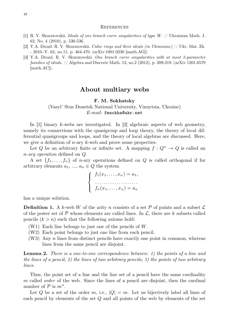#### **REFERENCES**

- [1] R. V. Skuratovskii. *Ideals of one branch curve singularities of type W.* // Ukrainian Math. J. 62, No. 4 (2010), p. 530-536.
- [2] Y.A. Drozd. R. V. Skuratovskii. *Cubic rings and their ideals (in Ukraniane)* // Ukr. Mat. Zh. - 2010.-V. 62, no.11, p. 464-470. (arXiv:1001.0230 [math.AG])
- [3] Y.A. Drozd. R. V. Skuratovskii. *One branch curve singularities with at most 2-parameter families of ideals.* // Algebra and Discrete Math. 13, no.2 (2012), p. 209-219. (arXiv 1201.6579 [math.AC]).

### **About multiary webs**

#### **F. M. Sokhatsky**

### (Vasyl' Stus Donetsk National University, Vinnytsia, Ukraine) *E-mail:* fmsokha@ukr.net

In [1] binary k-webs are investigated. In [2] algebraic aspects of web geometry, namely its connections with the quasigroup and loop theory, the theory of local differential quasigroups and loops, and the theory of local algebras are discussed. Here, we give a definition of *n*-ary *k*-web and prove some properties.

Let Q be an arbitrary finite or infinite set. A mapping  $f: Q^n \to Q$  is called an n*-ary operation* defined on Q.

A set  $\{f_1, \ldots, f_n\}$  of *n*-ary operations defined on Q is called orthogonal if for arbitrary elements  $a_1, ..., a_n \in Q$  the system



has a unique solution.

**Definition 1.** A k-web W of the arity n consists of a set  $\mathcal{P}$  of points and a subset  $\mathcal{L}$ of the power set of  $P$  whose elements are called lines. In  $\mathcal{L}$ , there are k subsets called pencils  $(k > n)$  such that the following axioms hold:

- (W1) Each line belongs to just one of the pencils of W.
- (W2) Each point belongs to just one line from each pencil.
- $(W3)$  Any n lines from distinct pencils have exactly one point in common, whereas lines from the same pencil are disjoint.

**Lemma 2.** *There is a one-to-one correspondence between: 1) the points of a line and the lines of a pencil; 2) the lines of two arbitrary pencils; 3) the points of two arbitrary lines.*

Thus, the point set of a line and the line set of a pencil have the same cardinality m called *order* of the web. Since the lines of a pencil are disjoint, then the cardinal number of  $P$  is  $m^n$ .

Let Q be a set of the order m, i.e.,  $|Q| = m$ . Let us bijectively label all lines of each pencil by elements of the set Q and all points of the web by elements of the set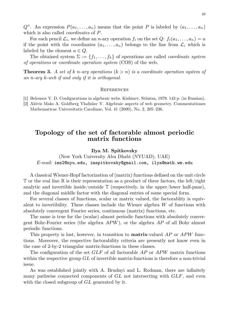$Q^n$ . An expression  $P(a_1, \ldots, a_n)$  means that the point P is labeled by  $(a_1, \ldots, a_n)$ which is also called *coordinates* of P.

For each pencil  $\mathcal{L}_i$ , we define an *n*-ary operation  $f_i$  on the set  $Q: f_i(a_1, \ldots, a_n) = a$ if the point with the coordinates  $(a_1, \ldots, a_n)$  belongs to the line from  $\mathcal{L}_i$  which is labeled by the element  $a \in Q$ .

The obtained system  $\Sigma := \{f_1, \ldots, f_k\}$  of operations are called *coordinate system of operations* or *coordinate operation system* (COS) of the web.

**Theorem 3.** A set of k n-ary operations  $(k > n)$  is a coordinate operation system of *an* n*-ary* k*-web if and only if it is orthogonal.*

#### **REFERENCES**

- [1] Belousov V. D. Configurations in algebraic webs. Kishinev, Stiintsa, 1979. 143 p. (in Russian).
- [2] Akivis Maks A. Goldberg Vladislav V. Algebraic aspects of web geometry. Commentationes Mathematicae Universitatis Carolinae, Vol. 41 (2000), No. 2, 205–236.

### **Topology of the set of factorable almost periodic matrix functions**

#### **Ilya M. Spitkovsky**

(New York University Abu Dhabi (NYUAD), UAE) *E-mail:* ims2@nyu.edu, imspitkovsky@gmail.com, ilya@math.wm.edu

A classical Wiener-Hopf factorization of (matrix) functions defined on the unit circle  $\mathbb T$  or the real line  $\mathbb R$  is their representation as a product of three factors, the left/right analytic and invertible inside/outside  $\mathbb T$  (respectively, in the upper/lower half-pane), and the diagonal middle factor with the diagonal entries of some special form.

For several classes of functions, scalar or matrix valued, the factorablity is equivalent to invertibility. These classes include the Wiener algebra W of functions with absolutely convergent Fourier series, continuous (matrix) functions, etc.

The same is true for the (scalar) almost periodic functions with absolutely convergent Bohr-Fourier series (the algebra APW), or the algebra AP of all Bohr almost periodic functions.

This property is lost, however, in transition to **matrix**-valued AP or APW functions. Moreover, the respective factorability criteria are presently not know even in the case of 2-by-2 triangular matrix-functions in these classes.

The configuration of the set  $GLF$  of all factorable  $AP$  or  $APW$  matrix functions within the respective group  $GL$  of invertible matrix-functions is therefore a non-trivial issue.

As was established jointly with A. Brudnyi and L. Rodman, there are infinitely many pathwise connected components of  $GL$  not intersecting with  $GLF$ , and even with the closed subgroup of GL generated by it.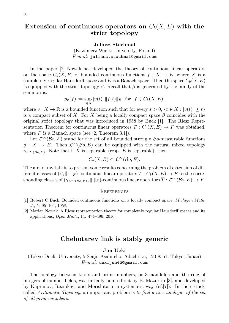# $\textbf{Extension of continuous operators on } C_b(X,E) \text{ with the }$ **strict topology**

**Juliusz Stochmal**

(Kazimierz Wielki University, Poland) *E-mail:* juliusz.stochmal@gmail.com

In the paper [2] Nowak has developed the theory of continuous linear operators on the space  $C_b(X, E)$  of bounded continuous functions  $f : X \to E$ , where X is a completely regular Hausdorff space and E is a Banach space. Then the space  $C_b(X, E)$ is equipped with the strict topology  $\beta$ . Recall that  $\beta$  is generated by the family of the seminorms:

$$
p_v(f) := \sup_{t \in X} |v(t)| ||f(t)||_E \text{ for } f \in C_b(X, E),
$$

where  $v: X \to \mathbb{R}$  is a bounded function such that for every  $\varepsilon > 0$ ,  $\{t \in X : |v(t)| \geq \varepsilon\}$ is a compact subset of X. For X being a locally compact space  $\beta$  coincides with the original strict topology that was introduced in 1958 by Buck [1]. The Riesz Representation Theorem for continuous linear operators  $T: C_b(X, E) \to F$  was obtained, where  $F$  is a Banach space (see [2, Theorem 3.1]).

Let  $\mathcal{L}^{\infty}(\mathcal{B}o, E)$  stand for the set of all bounded strongly  $\mathcal{B}o$ -measurable functions  $g: X \to E$ . Then  $\mathcal{L}^{\infty}(\mathcal{B}o, E)$  can be equipped with the natural mixed topology  $\gamma_{\mathcal{L}^{\infty}(B_0,E)}$ . Note that if X is separable (resp. E is separable), then

$$
C_b(X, E) \subset \mathcal{L}^{\infty}(\mathcal{B}_0, E).
$$

The aim of my talk is to present some results concerning the problem of extension of different classes of  $(\beta, \|\cdot\|_F)$ -continuous linear operators  $T : C_b(X, E) \to F$  to the corresponding classes of  $(\gamma_{\mathcal{L}^{\infty}(\mathcal{B}o,E)},\lVert \cdot \rVert_F)$ -continuous linear operators  $\overline{T}:\mathcal{L}^{\infty}(\mathcal{B}o,E)\to F.$ 

#### **REFERENCES**

- [1] Robert C Buck. Bounded continuous functions on a locally compact space, *Michigan Math. J.*, 5: 95–104, 1958.
- [2] Marian Nowak. A Riesz representation theory for completely regular Hausdorff spaces and its applications, *Open Math.*, 14: 474–496, 2016.

### **Chebotarev link is stably generic**

**Jun Ueki**

(Tokyo Denki University, 5 Senju Asahi-cho, Adachi-ku, 120-8551, Tokyo, Japan) *E-mail:* uekijun46@gmail.com

The analogy between knots and prime numbers, or 3-manifolds and the ring of integers of number fields, was initially pointed out by B. Mazur in [3], and developed by Kapranov, Reznikov, and Morishita in a systematic way (cf.[7]). In their study called *Arithmetic Topology*, an important problem is *to find a nice analogue of the set of all prime numbers.*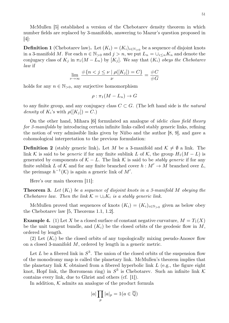McMullen [5] established a version of the Chebotarev density theorem in which number fields are replaced by 3-manifolds, answering to Mazur's question proposed in [4]:

**Definition 1** (Chebotarev law). Let  $(K_i) = (K_i)_{i \in \mathbb{N}_{>0}}$  be a sequence of disjoint knots in a 3-manifold M. For each  $n \in \mathbb{N}_{>0}$  and  $j > n$ , we put  $L_n = \bigcup_{i \leq n} K_n$  and denote the conjugacy class of  $K_j$  in  $\pi_1(M - L_n)$  by  $[K_j]$ . We say that  $(K_i)$  *obeys the Chebotarev law* if

$$
\lim_{\nu \to \infty} \frac{\#\{n < j \le \nu \mid \rho([K_j]) = C\}}{\nu} = \frac{\#C}{\#G}
$$

holds for any  $n \in \mathbb{N}_{>0}$ , any surjective homomorphism

$$
\rho : \pi_1(M-L_n) \to G
$$

to any finite group, and any conjugacy class  $C \subset G$ . (The left hand side is *the natural density* of  $K_i$ 's with  $\rho([K_i]) = C$ .)

On the other hand, Mihara [6] formulated an analogue of *idelic class field theory for 3-manifolds* by introducing certain infinite links called stably generic links, refining the notion of very admissible links given by Niibo and the author [8, 9], and gave a cohomological interpretation to the previous formulation:

**Definition 2** (stably generic link). Let M be a 3-manifold and  $K \neq \emptyset$  a link. The link K is said to be *generic* if for any finite sublink L of K, the group  $H_1(M - L)$  is generated by components of  $K - L$ . The link K is said to be *stably generic* if for any finite sublink L of K and for any finite branched cover  $h : M' \to M$  branched over L, the preimage  $h^{-1}(\mathcal{K})$  is again a generic link of  $M'$ .

Here's our main theorem [11]:

**Theorem 3.** *Let* (Ki) *be a sequence of disjoint knots in a 3-manifold* M *obeying the Chebotarev law. Then the link*  $K = \bigcup_i K_i$  *is a stably generic link.* 

McMullen proved that sequences of knots  $(K_i) = (K_i)_{i \in \mathbb{N}_{>0}}$  given as below obey the Chebotarev law [5, Theorems 1.1, 1.2].

**Example 4.** (1) Let X be a closed surface of constant negative curvature,  $M = T_1(X)$ be the unit tangent bundle, and  $(K_i)$  be the closed orbits of the geodesic flow in M, ordered by length.

(2) Let  $(K_i)$  be the closed orbits of any topologically mixing pseudo-Anosov flow on a closed 3-manifold M, ordered by length in a generic metric.

Let L be a fibered link in  $S^3$ . The union of the closed orbits of the suspension flow of the monodromy map is called the planetary link. McMullen's theorem implies that the planetary link  $K$  obtained from a fibered hyperbolic link  $L$  (e.g., the figure eight knot, Hopf link, the Borromean ring) in  $S^3$  is Chebotarev. Such an infinite link K contains every link, due to Ghrist and others (cf. [1]).

In addition,  $K$  admits an analogue of the product formula

$$
|a|\prod_{p}|a|_{p}=1(a\in\overline{\mathbb{Q}})
$$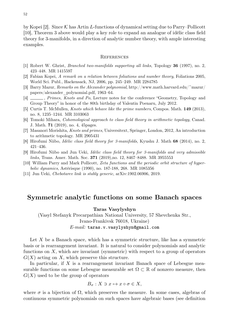by Kopei [2]. Since  $K$  has Artin L-functions of dynamical setting due to Parry–Pollicott [10], Theorem 3 above would play a key role to expand an analogue of idèlic class field theory for 3-manifolds, in a direction of analytic number theory, with ample interesting examples.

#### **REFERENCES**

- [1] Robert W. Ghrist, *Branched two-manifolds supporting all links*, Topology **36** (1997), no. 2, 423–448. MR 1415597
- [2] Fabian Kopei, *A remark on a relation between foliations and number theory*, Foliations 2005, World Sci. Publ., Hackensack, NJ, 2006, pp. 245–249. MR 2284785
- [3] Barry Mazur, *Remarks on the Alexander polynomial*, http://www.math.harvard.edu/~mazur/ papers/alexander\_polynomial.pdf, 1963–64.
- [4] , *Primes, Knots and Po*, Lecture notes for the conference "Geometry, Topology and Group Theory" in honor of the 80th birthday of Valentin Poenaru, July 2012.
- [5] Curtis T. McMullen, *Knots which behave like the prime numbers*, Compos. Math. **149** (2013), no. 8, 1235–1244. MR 3103063
- [6] Tomoki Mihara, *Cohomological approach to class field theory in arithmetic topology*, Canad. J. Math. **71** (2019), no. 4, 45pages.
- [7] Masanori Morishita, *Knots and primes*, Universitext, Springer, London, 2012, An introduction to arithmetic topology. MR 2905431
- [8] Hirofumi Niibo, *Idèlic class field theory for 3-manifolds*, Kyushu J. Math **68** (2014), no. 2, 421–436.
- [9] Hirofumi Niibo and Jun Ueki, *Idèlic class field theory for 3-manifolds and very admissible links*, Trans. Amer. Math. Soc. **371** (2019),no. 12, 8467–8488. MR 3955553
- [10] William Parry and Mark Pollicott, *Zeta functions and the periodic orbit structure of hyperbolic dynamics*, Astérisque (1990), no. 187-188, 268. MR 1085356
- [11] Jun Ueki, *Chebotarev link is stably generic*, arXiv:1902.06906, 2019.

### **Symmetric analytic functions on some Banach spaces**

**Taras Vasylyshyn**

(Vasyl Stefanyk Precarpathian National University, 57 Shevchenka Str., Ivano-Frankivsk 76018, Ukraine) *E-mail:* taras.v.vasylyshyn@gmail.com

Let X be a Banach space, which has a symmetric structure, like has a symmetric basis or is rearrangement invariant. It is natural to consider polynomials and analytic functions on  $X$ , which are invariant (symmetric) with respect to a group of operators  $G(X)$  acting on X, which preserve this structure.

In particular, if  $X$  is a rearrangement invariant Banach space of Lebesgue measurable functions on some Lebesgue measurable set  $\Omega \subset \mathbb{R}$  of nonzero measure, then  $G(X)$  used to be the group of operators

$$
B_{\sigma}: X \ni x \mapsto x \circ \sigma \in X,
$$

where  $\sigma$  is a bijection of  $\Omega$ , which preserves the measure. In some cases, algebras of continuous symmetric polynomials on such spaces have algebraic bases (see definition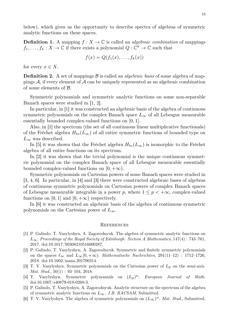below), which gives us the opportunity to describe spectra of algebras of symmetric analytic functions on these spaces.

**Definition 1.** A mapping  $f: X \to \mathbb{C}$  is called an *algebraic combination* of mappings  $f_1, \ldots, f_k : X \to \mathbb{C}$  if there exists a polynomial  $Q : \mathbb{C}^k \to \mathbb{C}$  such that

$$
f(x) = Q(f_1(x), \ldots, f_k(x))
$$

for every  $x \in X$ .

**Definition 2.** A set of mappings  $\beta$  is called an *algebraic basis* of some algebra of mappings  $A$ , if every element of  $A$  can be uniquely represented as an algebraic combination of some elements of B.

Symmetric polynomials and symmetric analytic functions on some non-separable Banach spaces were studied in [1, 2].

In particular, in [1] it was constructed an algebraic basis of the algebra of continuous symmetric polynomials on the complex Banach space  $L_{\infty}$  of all Lebesgue measurable essentially bounded complex-valued functions on [0, 1].

Also, in [1] the spectrum (the set of all continuous linear multiplicative functionals) of the Fréchet algebra  $H_{bs}(L_{\infty})$  of all entire symmetric functions of bounded type on  $L_{\infty}$  was described.

In [5] it was shown that the Fréchet algebra  $H_{bs}(L_{\infty})$  is isomorphic to the Fréchet algebra of all entire functions on its spectrum.

In [2] it was shown that the trivial polynomial is the unique continuous symmetric polynomial on the complex Banach space of all Lebesgue measurable essentially bounded complex-valued functions on  $[0, +\infty)$ .

Symmetric polynomials on Cartesian powers of some Banach spaces were studied in [3, 4, 6]. In particular, in [4] and [3] there were constructed algebraic bases of algebras of continuous symmetric polynomials on Cartesian powers of complex Banach spaces of Lebesgue measurable integrable in a power p, where  $1 \leq p \leq +\infty$ , complex-valued functions on [0, 1] and [0,  $+\infty$ ) respectively.

In [6] it was constructed an algebraic basis of the algebra of continuous symmetric polynomials on the Cartesian power of  $L_{\infty}$ .

- [1] P. Galindo, T. Vasylyshyn, A. Zagorodnyuk. The algebra of symmetric analytic functions on L∞. *Proceedings of the Royal Society of Edinburgh: Section A Mathematics*, 147(4) : 743–761, 2017. doi:10.1017/S0308210516000287.
- [2] P. Galindo, T. Vasylyshyn, A. Zagorodnyuk. Symmetric and finitely symmetric polynomials on the spaces  $\ell_{\infty}$  and  $L_{\infty}[0, +\infty)$ . *Mathematische Nachrichten*, 291(11–12) : 1712–1726, 2018. doi:10.1002/mana.201700314.
- [3] T. V. Vasylyshyn. Symmetric polynomials on the Cartesian power of  $L_p$  on the semi-axis. *Mat. Stud.*, 50(1) : 93–104, 2018.
- [4] T. Vasylyshyn. Symmetric polynomials on  $(L_p)^n$ . *European Journal of Math.* doi:10.1007/s40879-018-0268-3.
- [5] P. Galindo, T. Vasylyshyn, A. Zagorodnyuk. Analytic structure on the spectrum of the algebra of symmetric analytic functions on L∞. *J.B. RACSAM*, Submitted.
- [6] T. V. Vasylyshyn. The algebra of symmetric polynomials on  $(L_{\infty})^n$ . *Mat. Stud.*, Submitted.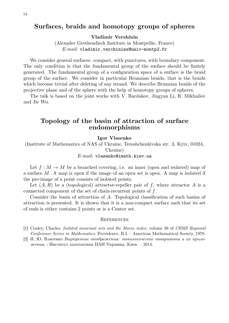# **Surfaces, braids and homotopy groups of spheres**

**Vladimir Vershinin**

(Alexader Grothendieck Institute in Montpellie, France) *E-mail:* vladimir.verchinine@univ-montp2.fr

We consider general surfaces: compact, with punctures, with boundary component. The only condition is that the fundamental group of the surface should be finitely generated. The fundamental group of a configuration space of a surface is the braid group of the surface. We consider in particular Brunnian braids, that is the braids which become trivial after deleting of any strand. We describe Brunnian braids of the projective plane and of the sphere with the help of homotopy groups of spheres.

The talk is based on the joint works with V. Bardakov, Jingyan Li, R. Mikhailov and Jie Wu.

### **Topology of the basin of attraction of surface endomorphisms**

#### **Igor Vlasenko**

(Institute of Mathematics of NAS of Ukraine, Tereshchenkivska str. 3, Kyiv, 01024, Ukraine)

### *E-mail:* vlasenko@imath.kiev.ua

Let  $f: M \to M$  be a branched covering, i.e. an inner (open and isolated) map of a surface M. A map is open if the image of an open set is open. A map is isolated if the pre-image of a point consists of isolated points.

Let  $(A, R)$  be a (topological) attractor-repeller pair of f, where attractor A is a connected component of the set of chain-recurrent points of f.

Consider the basin of attraction of A. Topological classification of such basins of attraction is presented. It is shown that it is a non-compact surface such that its set of ends is either contains 2 points or is a Cantor set.

- [1] Conley, Charles. *Isolated invariant sets and the Morse index*, volume 38 of *CBMS Regional Conference Series in Mathematics*. Providence, R.I. : American Mathematical Society, 1978.
- [2] И. Ю. Власенко *Внутренние отображения: топологические инварианты и их приложения*, - Институт математики НАН Украины. Киев. – 2014.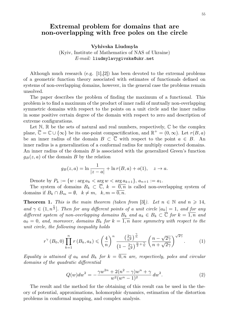### **Extremal problem for domains that are non-overlapping with free poles on the circle**

**Vyhivska Liudmyla**

(Kyiv, Institute of Mathematics of NAS of Ukraine) *E-mail:* liudmylavygivska@ukr.net

Although much research (e.g. [1],[2]) has been devoted to the extremal problems of a geometric function theory associated with estimates of functionals defined on systems of non-overlapping domains, however, in the general case the problems remain unsolved.

The paper describes the problem of finding the maximum of a functional. This problem is to find a maximum of the product of inner radii of mutually non-overlapping symmetric domains with respect to the points on a unit circle and the inner radius in some positive certain degree of the domain with respect to zero and description of extreme configurations.

Let  $\mathbb{N}, \mathbb{R}$  be the sets of natural and real numbers, respectively,  $\mathbb{C}$  be the complex plane,  $\overline{\mathbb{C}} = \mathbb{C} \cup \{\infty\}$  be its one-point compactification, and  $\mathbb{R}^+ = (0, \infty)$ . Let  $r(B, a)$ be an inner radius of the domain  $B \subset \overline{\mathbb{C}}$  with respect to the point  $a \in B$ . An inner radius is a generalization of a conformal radius for multiply connected domains. An inner radius of the domain B is associated with the generalized Green's function  $g_B(z, a)$  of the domain B by the relation

$$
g_B(z, a) = \ln \frac{1}{|z - a|} + \ln r(B, a) + o(1), \quad z \to a.
$$

Denote by  $P_k := \{w : \arg a_k < \arg w < \arg a_{k+1}\},\, a_{n+1} := a_1.$ 

The system of domains  $B_k \subset \overline{\mathbb{C}}$ ,  $k = \overline{0,n}$  is called non-overlapping system of domains if  $B_k \cap B_m = \emptyset$ ,  $k \neq m$ ,  $k, m = \overline{0, n}$ .

**Theorem 1.** *This is the main theorem (taken from* [3]). Let  $n \in \mathbb{N}$  and  $n \geq 14$ , and  $\gamma \in (1, n^{\frac{1}{3}}]$ . *Then for any different points of a unit circle*  $|a_k| = 1$ , and for any *different system of non-overlapping domains*  $B_k$  *and*  $a_k \in B_k \subset \overline{C}$  *for*  $k = \overline{1,n}$  *and*  $a_0 = 0$ , and, moreover, domains  $B_k$  for  $k = \overline{1,n}$  have symmetry with respect to the *unit circle, the following inequality holds*

$$
r^{\gamma}\left(B_0,0\right)\prod_{k=1}^n r\left(B_k,a_k\right) \leqslant \left(\frac{4}{n}\right)^n \frac{\left(\frac{2\gamma}{n^2}\right)^{\frac{\gamma}{n}}}{\left(1-\frac{2\gamma}{n^2}\right)^{\frac{n}{2}+\frac{\gamma}{n}}}\left(\frac{n-\sqrt{2\gamma}}{n+\sqrt{2\gamma}}\right)^{\sqrt{2\gamma}}.\tag{1}
$$

*Equality is attained if*  $a_k$  *and*  $B_k$  *for*  $k = \overline{0,n}$  *are, respectively, poles and circular domains of the quadratic differential*

$$
Q(w)dw^{2} = -\frac{\gamma w^{2n} + 2(n^{2} - \gamma)w^{n} + \gamma}{w^{2}(w^{n} - 1)^{2}} dw^{2}.
$$
\n(2)

The result and the method for the obtaining of this result can be used in the theory of potential, approximations, holomorphic dynamics, estimation of the distortion problems in conformal mapping, and complex analysis.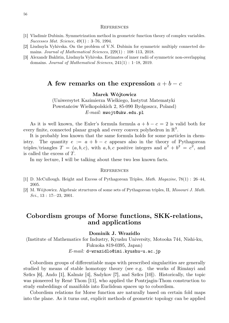#### **REFERENCES**

- [1] Vladimir Dubinin. Symmetrization method in geometric function theory of complex variables. *Successes Mat. Science*, 49(1) : 3–76, 1994.
- [2] Liudmyla Vyhivska. On the problem of V.N. Dubinin for symmetric multiply connected domains. *Journal of Mathematical Sciences*, 229(1) : 108–113, 2018.
- [3] Alexandr Bakhtin, Liudmyla Vyhivska. Estimates of inner radii of symmetric non-overlapping domains. *Journal of Mathematical Sciences*, 241(1) : 1–18, 2019.

### **A** few remarks on the expression  $a + b - c$

**Marek Wójtowicz**

(Uniwersytet Kazimierza Wielkiego, Instytut Matematyki Powstańców Wielkopolskich 2, 85-090 Bydgoszcz, Poland) *E-mail:* mwojt@ukw.edu.pl

As it is well known, the Euler's formula formula  $a + b - c = 2$  is valid both for every finite, connected planar graph and every convex polyhedron in  $\mathbb{R}^3$ .

It is probably less known that the same formula holds for some particles in chemistry. The quantity  $e := a + b - c$  appears also in the theory of Pythagorean triples/triangles  $T = (a, b, c)$ , with  $a, b, c$  positive integers and  $a^2 + b^2 = c^2$ , and is called the excess of T.

In my lecture, I will be talking about these two less known facts.

#### **REFERENCES**

- [1] D. McCullough. Height and Excess of Pythagorean Triples, *Math. Magazine*, 78(1) : 26–44, 2005.
- [2] M. Wójtowicz. Algebraic structures of some sets of Pythagorean triples, II, *Missouri J. Math. Sci.*, 13 : 17-–23, 2001.

### **Cobordism groups of Morse functions, SKK-relations, and applications**

**Dominik J. Wrazidlo**

(Institute of Mathematics for Industry, Kyushu University, Motooka 744, Nishi-ku, Fukuoka 819-0395, Japan) *E-mail:* d-wrazidlo@imi.kyushu-u.ac.jp

Cobordism groups of differentiable maps with prescribed singularities are generally studied by means of stable homotopy theory (see e.g. the works of Rimányi and Szűcs [6], Ando [1], Kalmár [4], Sadykov [7], and Szűcs [10]). Historically, the topic was pioneered by René Thom [11], who applied the Pontrjagin-Thom construction to study embeddings of manifolds into Euclidean spaces up to cobordism.

Cobordism relations for Morse function are naturally based on certain fold maps into the plane. As it turns out, explicit methods of geometric topology can be applied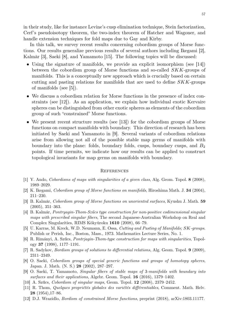in their study, like for instance Levine's cusp elimination technique, Stein factorization, Cerf's pseudoisotopy theorem, the two-index theorem of Hatcher and Wagoner, and handle extension techniques for fold maps due to Gay and Kirby.

In this talk, we survey recent results concerning cobordism groups of Morse functions. Our results generalize previous results of several authors including Ikegami [2], Kalmàr [3], Saeki [8], and Yamamoto [15]. The following topics will be discussed:

- Using the signature of manifolds, we provide an explicit isomorphism (see [14]) between the cobordism group of Morse functions and so-called SKK-groups of manifolds. This is a conceptually new approach which is crucially based on certain cutting and pasting relations for manifolds that are used to define SKK-groups of manifolds (see [5]).
- We discuss a cobordism relation for Morse functions in the presence of index constraints (see [12]). As an application, we explain how individual exotic Kervaire spheres can be distinguished from other exotic spheres as elements of the cobordism group of such "constrained" Morse functions.
- We present recent structure results (see [13]) for the cobordism groups of Morse functions on compact manifolds with boundary. This direction of research has been initiated by Saeki and Yamamoto in [9]. Several variants of cobordism relations arise from allowing not all of the possible stable map germs of manifolds with boundary into the plane: folds, boundary folds, cusps, boundary cusps, and  $B_2$ points. If time permits, we indicate how our results can be applied to construct topological invariants for map germs on manifolds with boundary.

- [1] Y. Ando, *Cobordisms of maps with singularities of a given class*, Alg. Geom. Topol. **8** (2008), 1989–2029.
- [2] K. Ikegami, *Cobordism group of Morse functions on manifolds*, Hiroshima Math. J. **34** (2004), 211–230.
- [3] B. Kalmár, *Cobordism group of Morse functions on unoriented surfaces*, Kyushu J. Math. **59** (2005), 351–363.
- [4] B. Kalmár, *Pontryagin-Thom-Szűcs type construction for non-positive codimensional singular maps with prescribed singular fibers*, The second Japanese-Australian Workshop on Real and Complex Singularities, RIMS Kôkyûroku **1610** (2008), 66–79.
- [5] U. Karras, M. Kreck, W.D. Neumann, E. Ossa, *Cutting and Pasting of Manifolds;* SK*-groups*. Publish or Perish, Inc., Boston, Mass., 1973. Mathematics Lecture Series, No. 1.
- [6] R. Rimányi, A. Szűcs, *Pontrjagin-Thom-type construction for maps with singularities*, Topology **37** (1998), 1177–1191.
- [7] R. Sadykov, *Bordism groups of solutions to differential relations*, Alg. Geom. Topol. **9** (2009), 2311–2349.
- [8] O. Saeki, *Cobordism groups of special generic functions and groups of homotopy spheres*, Japan. J. Math. (N. S.) **28** (2002), 287–297.
- [9] O. Saeki, T. Yamamoto, *Singular fibers of stable maps of* 3*-manifolds with boundary into surfaces and their applications*, Algebr. Geom. Topol. **16** (2016), 1379–1402.
- [10] A. Szűcs, *Cobordism of singular maps*, Geom. Topol. **12** (2008), 2379–2452.
- [11] R. Thom, *Quelques propriétés globales des variétés différentiables*, Comment. Math. Helv. **28** (1954),17–86.
- [12] D.J. Wrazidlo, *Bordism of constrained Morse functions*, preprint (2018), arXiv:1803.11177.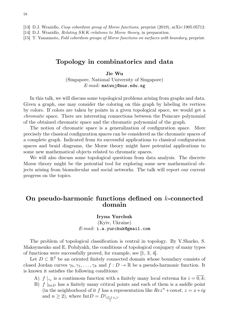[13] D.J. Wrazidlo, *Cusp cobordism group of Morse functions*, preprint (2019), arXiv:1905.05712.

[14] D.J. Wrazidlo, *Relating* SKK*-relations to Morse theory*, in preparation.

[15] T. Yamamoto, *Fold cobordism groups of Morse functions on surfaces with boundary*, preprint.

### **Topology in combinatorics and data**

**Jie Wu**

(Singapore, National University of Singapore) *E-mail:* matwuj@nus.edu.sg

In this talk, we will discuss some topological problems arising from graphs and data. Given a graph, one may consider the coloring on this graph by labeling its vertices by colors. If colors are taken by points in a given topological space, we would get a *chromatic* space. There are interesting connections between the Poincare polynomial of the obtained chromatic space and the chromatic polynomial of the graph.

The notion of chromatic space is a generalization of configuration space. More precisely the classical configuration spaces can be considered as the chromatic spaces of a complete graph. Indicated from its successful applications to classical configuration spaces and braid diagrams, the Morse theory might have potential applications to some new mathematical objects related to chromatic spaces.

We will also discuss some topological questions from data analysis. The discrete Morse theory might be the potential tool for exploring some new mathematical objects arising from biomolecular and social networks. The talk will report our current progress on the topics.

### **On pseudo-harmonic functions defined on** k**-connected domain**

### **Iryna Yurchuk** (Kyiv, Ukraine) *E-mail:* i.a.yurchuk@gmail.com

The problem of topological classification is central in topology. By V.Sharko, S. Maksymenko and E. Polulyakh, the conditions of topological conjugacy of many types of functions were successfully proved, for example, see [1, 3, 4].

Let  $D \subset \mathbb{R}^2$  be an oriented finitely connected domain whose boundary consists of closed Jordan curves  $\gamma_0, \gamma_1, \ldots, \gamma_k$  and  $f: D \to \mathbb{R}$  be a pseudo-harmonic function. It is known it satisfies the following conditions:

- A)  $f|_{\gamma_i}$  is a continuous function with a finitely many local extrema for  $i = 0, k$ ;
- B)  $f|_{\text{Int }D}$  has a finitely many critical points and each of them is a saddle point (in the neighborhood of it f has a representation like  $Re^{2n}$  + const,  $z = x + iy$ and  $n \geq 2$ ), where  $\text{Int}D = D \setminus \cup$  $\bigcup_i \gamma_i$ ).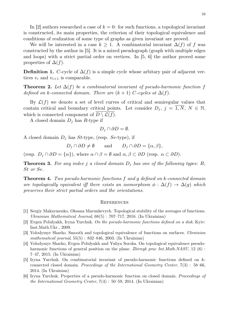In [2] authors researched a case of  $k = 0$ : for such functions, a topological invariant is constructed, its main properties, the criterion of their topological equivalence and conditions of realization of some type of graphs as given invariant are proved.

We will be interested in a case  $k \geq 1$ . A combinatorial invariant  $\Delta(f)$  of f was constructed by the author in [5]. It is a mixed pseudograph (graph with multiple edges and loops) with a strict partial order on vertices. In [5, 6] the author proved some properties of  $\Delta(f)$ .

**Definition 1.** C-cycle of  $\Delta(f)$  is a simple cycle whose arbitary pair of adjacent vertices  $v_i$  and  $v_{i+1}$  is comparable.

**Theorem 2.** Let  $\Delta(f)$  be a combinatorial invariant of pseudo-harmonic function f *defined on* k-connected domain. There are  $(k + 1)$  C-cycles at  $\Delta(f)$ .

By  $\mathcal{L}(f)$  we denote a set of level curves of critical and semiregular values that contain critical and boundary critical points. Let consider  $D_i$ ,  $j = \overline{1, N}, N \in \mathbb{N}$ , which is connected component of  $D \setminus \mathcal{L}(f)$ .

A closed domain  $D_j$  has R-type if

$$
D_j \cap \partial D = \emptyset.
$$

A closed domain  $D_j$  has St-type, (resp. Se-type), if

 $D_i \cap \partial D \neq \emptyset$  and  $D_i \cap \partial D = {\alpha, \beta},$ 

(resp.  $D_j \cap \partial D = {\alpha}$ ), where  $\alpha \cap \beta = \emptyset$  and  $\alpha, \beta \subset \partial D$  (resp.  $\alpha \subset \partial D$ ).

**Theorem 3.** For any index j a closed domain  $D_j$  has one of the following types: R, St *or* Se*.*

**Theorem 4.** *Two pseudo-harmonic functions* f *and* g *defined on* k*-connected domain are topologically equivalent iff there exists an isomorphism*  $\phi : \Delta(f) \rightarrow \Delta(g)$  *which preserves their strict partial orders and the orientations.*

- [1] Sergiy Maksymenko, Oksana Marunkevych. Topological stability of the averages of functions. *Ukrainian Mathematical Journal*, 68(5) : 707–717, 2016. (In Ukrainian)
- [2] Evgen Polulyakh, Iryna Yurchuk. *On the pseudo-harmonic functions defined on a disk*. Kyiv: Inst.Math.Ukr., 2009.
- [3] Volodymyr Sharko. Smooth and topological equivalence of functions on surfaces. *Ukrainian mathematical journal*, 55(5) : 832–846, 2003. (In Ukrainian)
- [4] Volodymyr Sharko, Evgen Polulyakh and Yuliya Soroka. On topological equivalence pseudoharmonic functions of general position on the plane. *Zbirnyk prac Int.Math.NASU*, 12 (6) : 7–47, 2015. (In Ukrainian)
- [5] Iryna Yurchuk. On combinatorial invariant of pseudo-harmonic functions defined on kconnected closed domain. *Proceedings of the International Geometry Center*, 7(3) : 58–66, 2014. (In Ukrainian)
- [6] Iryna Yurchuk. Properties of a pseudo-harmonic function on closed domain. *Proceedings of the International Geometry Center*, 7(4) : 50–59, 2014. (In Ukrainian)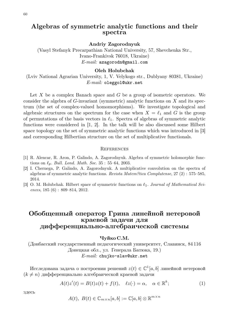# **Algebras of symmetric analytic functions and their spectra**

**Andriy Zagorodnyuk**

(Vasyl Stefanyk Precarpathian National University, 57, Shevchenka Str., Ivano-Frankivsk 76018, Ukraine) *E-mail:* azagorodn@gmail.com

#### **Oleh Holubchak**

(Lviv National Agrarian University, 1, V. Velykogo str., Dublyany 80381, Ukraine) *E-mail:* oleggol@ukr.net

Let  $X$  be a complex Banach space and  $G$  be a group of isometric operators. We consider the algebra of  $G$ -invariant (symmetric) analytic functions on  $X$  and its spectrum (the set of complex-valued homomorphisms). We investigate topological and algebraic structures on the spectrum for the case when  $X = \ell_1$  and G is the group of permutations of the basis vectors in  $\ell_1$ . Spectra of algebras of symmetric analytic functions were considered in [1, 2]. In the talk will be also discussed some Hilbert space topology on the set of symmetric analytic functions which was introduced in [3] and corresponding Hilbertian structure on the set of multiplicative functionals.

#### **REFERENCES**

- [1] R. Alencar, R. Aron, P. Galindo, A. Zagorodnyuk. Algebra of symmetric holomorphic functions on  $\ell_p$ . *Bull. Lond. Math. Soc.* 35 : 55–64, 2003.
- [2] I. Chernega, P. Galindo, A. Zagorodnyuk. A multiplicative convolution on the spectra of algebras of symmetric analytic functions. *Revista Matem?tica Complutense*, 27 (2) : 575–585, 2014.
- [3] O. M. Holubchak. Hilbert space of symmetric functions on ℓ1. *Journal of Mathematical Sciences*, 185 (6) : 809–814, 2012.

# **Обобщенный оператор Грина линейной нетеровой краевой задачи для дифференциально-алгебраической системы**

#### **Чуйко С.М.**

(Донбасский государственный педагогический университет, Славянск, 84 116 Донецкая обл., ул. Генерала Батюка, 19.) *E-mail:* chujko-slav@ukr.net

Исследована задача о построении решений  $z(t) \in \mathbb{C}^1[a,b]$  линейной нетеровой  $(k \neq n)$  дифференциально алгебраической краевой задачи

$$
A(t)z'(t) = B(t)z(t) + f(t), \quad \ell z(\cdot) = \alpha, \quad \alpha \in \mathbb{R}^k; \tag{1}
$$

здесь

$$
A(t), B(t) \in \mathbb{C}_{m \times n}[a, b] := \mathbb{C}[a, b] \otimes \mathbb{R}^{m \times n}
$$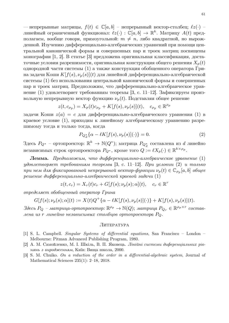— непрерывные матрицы,  $f(t) \in \mathbb{C}[a, b]$  – непрерывный вектор-столбец;  $\ell z(\cdot)$  – линейный ограниченный функционал:  $\ell z(\cdot)$  :  $\mathbb{C}[a,b]\to\mathbb{R}^k$ . Матрицу  $A(t)$  предполагаем, вообще говоря, прямоугольной:  $m \neq n$ , либо квадратной, но вырожденной. Изучению дифференциально-алгебраических уравнений при помощи центральной канонической формы и совершенных пар и троек матриц посвящены монографии [1, 2]. В статье [3] предложена оригинальная классификация, достаточные условия разрешимости, оригинальная конструкция общего решения  $X_p(t)$ однородной части системы (1) а также конструкция обобщенного оператора Грина задачи Коши  $K[f(s), \nu_p(s)](t)$  для линейной дифференциально-алгебраической системы (1) без использования центральной канонической формы и совершенных пар и троек матриц. Предположим, что дифференциально-алгебраическое уравнение (1) удовлетворяет требованиям теоремы [3, c. 11–12]. Зафиксируем произвольную непрерывную вектор функцию  $\nu_p(t)$ . Подставляя общее решение

$$
z(t, c_{\rho_p}) = X_p(t)c_{\rho_p} + K[f(s), \nu_p(s)](t), \quad c_{\rho_p} \in \mathbb{R}^{\rho_p}
$$

задачи Коши  $z(a) = c$  для дифференциально-алгебраического уравнения (1) в краевое условие (1), приходим к линейному алгебраическому уравнению разрешимому тогда и только тогда, когда

$$
P_{Q_d^*}\{\alpha - \ell K[f(s), \nu_p(s)](\cdot)\} = 0. \tag{2}
$$

Здесь  $P_{Q^*}$  – ортопроектор:  $\mathbb{R}^k \to \mathbb{N}(Q^*);$  матрица  $P_{Q_d^*}$  составлена из  $d$  линейно независимых строк ортопроектора  $P_{Q^*},$  кроме того  $Q:=\ell X_p(\cdot)\in\mathbb{R}^{k\times \rho_p}.$ 

**Лемма.** *Предположим, что дифференциально-алгебраическое уравнение* (1) *удовлетворяет требованиям теоремы* [3, c. 11–12]*. При условии* (2) *и только при нем для фиксированной непрерывной вектор-функции*  $\nu_p(t) \in \mathbb{C}_{\rho_p}[a,b]$  *общее решение дифференциально-алгебраической краевой задачи* (1)

$$
z(t, c_r) = X_r(t)c_r + G[f(s); \nu_p(s); \alpha](t), \quad c_r \in \mathbb{R}^r
$$

*определяет обобщенный оператор Грина*

$$
G[f(s); \nu_p(s); \alpha](t) := X(t)Q^+ \{ \alpha - \ell K[f(s), \nu_p(s)](\cdot) \} + K[f(s), \nu_p(s)](t).
$$

 $3$ десь  $P_Q$  – матрица-ортопроектор:  $\mathbb{R}^{\rho_p} \to \mathbb{N}(Q)$ ; матрица  $P_{Q_r} \in \mathbb{R}^{\rho_p \times r}$  состав*лена из* r *линейно независимых столбцов ортопроектора* PQ.

#### ЛИТЕРАТУРА

- [1] S. L. Campbell. *Singular Systems of differential equations*, San Francisco London Melbourne: Pitman Advanced Publishing Program, 1980.
- [2] А. М. Самойленко, М. I. Шкіль, В. П. Яковець. *Лінійні системи диференціальних рівнянь з виродженням*, Київ: Вища школа, 2000.
- [3] S. M. Chuiko. *On a reduction of the order in a differential-algebraic system*, Journal of Mathematical Sciences 235(1): 2–18, 2018.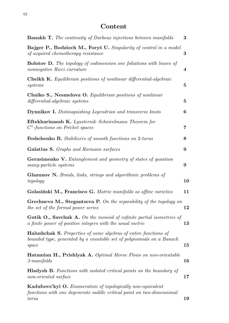# **Content**

| <b>Banakh T.</b> The continuity of Darboux injections between manifolds                                                                                   | 3                 |
|-----------------------------------------------------------------------------------------------------------------------------------------------------------|-------------------|
| Bajger P., Bodzioch M., Foryś U. Singularity of control in a model<br>of acquired chemotherapy resistance                                                 | $\bf{3}$          |
| <b>Bolotov D.</b> The topology of codimension one foliations with leaves of<br>nonnegative Ricci curvature                                                | $\overline{4}$    |
| <b>Cheikh K.</b> Equilibrium positions of nonlinear differential-algebraic<br>systems                                                                     | $\bf{5}$          |
| Chuiko S., Nesmelova O. Equilibrium positions of nonlinear<br>differential-algebraic systems                                                              | $\bf{5}$          |
| <b>Dynnikov I.</b> Distinsguishing Legendrian and transverse knots                                                                                        | 6                 |
| Eftekharinasab K. Lyusternik-Schnirelmann Theorem for<br>$C1$ -functions on Fréchet spaces                                                                | 7                 |
| <b>Feshchenko B.</b> Stabilizers of smooth functions on 2-torus                                                                                           | 8                 |
| <b>Galatius S.</b> Graphs and Riemann surfaces                                                                                                            | 9                 |
| <b>Gerasimenko V.</b> Entanglement and geometry of states of quantum<br>many-particle systems                                                             | 9                 |
| <b>Glazunov N.</b> Braids, links, strings and algorithmic problems of<br>topology                                                                         | 10                |
| Golasiński M., Francisco G. Matrix manifolds as affine varieties                                                                                          | 11                |
| Grechneva M., Stegantseva P. On the separability of the topology on<br>the set of the formal power series                                                 | $\boldsymbol{12}$ |
| <b>Gutik O., Savchuk A.</b> On the monoid of cofinite partial isometries of<br>a finite power of positive integers with the usual metric                  | 13                |
| <b>Halushchak S.</b> Properties of some algebras of entire functions of<br>bounded type, generated by a countable set of polynomials on a Banach<br>space | $15\,$            |
| <b>Hatamian H., Prishlyak A.</b> Optimal Morse Flows on non-orientable<br>$3$ -manifolds                                                                  | 16                |
| <b>Hladysh B.</b> Functions with isolated critical points on the boundary of<br>non-oriented surface                                                      | $17\,$            |
| <b>Kadubovs'kyi O.</b> Enumeration of topologically non-equivalent<br>functions with one degenerate saddle critical point on two-dimensional<br>torus     | 19                |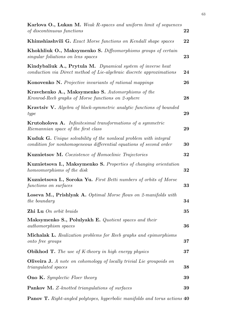| Karlova O., Lukan M. Weak R-spaces and uniform limit of sequences<br>of discontinuous functions                                                 | 22     |
|-------------------------------------------------------------------------------------------------------------------------------------------------|--------|
| <b>Khimshiashvili G.</b> Exact Morse functions on Kendall shape spaces                                                                          | 22     |
| Khokhliuk O., Maksymenko S. Diffeomorphisms groups of certain<br>singular foliations on lens spaces                                             | 23     |
| Kindybaliuk A., Prytula M. Dynamical system of inverse heat<br>conduction via Direct method of Lie-algebraic discrete approximations            | 24     |
| <b>Konovenko N.</b> Projective invariants of rational mappings                                                                                  | 26     |
| Kravchenko A., Maksymenko S. Automorphisms of the<br>Kronrod-Reeb graphs of Morse functions on 2-sphere                                         | 28     |
| <b>Kravtsiv V.</b> Algebra of block-symmetric analytic functions of bounded<br>type                                                             | 29     |
| <b>Krutoholova A.</b> Infinitesimal transformations of a symmetric<br>Riemannian space of the first class                                       | 29     |
| <b>Kuduk G.</b> Unique solvability of the nonlocal problem with integral<br>condition for nonhomogeneous differential equations of second order | 30     |
| <b>Kuznietsov M.</b> Coexistence of Homoclinic Trajectories                                                                                     | 32     |
| Kuznietsova I., Maksymenko S. Properties of changing orientation<br>homeomorphisms of the disk                                                  | 32     |
| <b>Kuznietsova I., Soroka Yu.</b> First Betti numbers of orbits of Morse<br>functions on surfaces                                               | 33     |
| Loseva M., Prishlyak A. Optimal Morse flows on 2-manifolds with<br>the boundary                                                                 | 34     |
| Zhi Lu On orbit braids                                                                                                                          | 35     |
| Maksymenko S., Polulyakh E. Quotient spaces and their<br><i>authomorphism</i> spaces                                                            | 36     |
| <b>Michalak L.</b> Realization problems for Reeb graphs and epimorphisms<br>onto free groups                                                    | $37\,$ |
| <b>Obikhod T.</b> The use of K-theory in high energy physics                                                                                    | 37     |
| <b>Oliveira J.</b> A note on cohomology of locally trivial Lie groupoids on<br><i>triangulated spaces</i>                                       | 38     |
| <b>Ono K.</b> Symplectic Floer theory                                                                                                           | 39     |
| <b>Pankov M.</b> Z-knotted triangulations of surfaces                                                                                           | 39     |
|                                                                                                                                                 |        |

**Panov T.** *Right-angled polytopes, hyperbolic manifolds and torus actions* **40**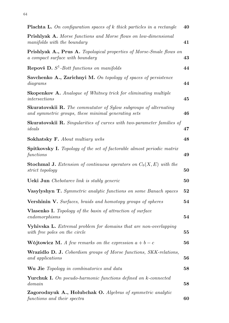| <b>Plachta L.</b> On configuration spaces of $k$ thick particles in a rectangle                                                | 40 |
|--------------------------------------------------------------------------------------------------------------------------------|----|
| <b>Prishlyak A.</b> Morse functions and Morse flows on low-dimensional<br>manifolds with the boundary                          | 41 |
| <b>Prishlyak A., Prus A.</b> Topological properties of Morse-Smale flows on<br>a compact surface with boundary                 | 43 |
| <b>Repovš D.</b> $S^1$ -Bott functions on manifolds                                                                            | 44 |
| Savchenko A., Zarichnyi M. On topology of spaces of persistence<br>diagrams                                                    | 44 |
| <b>Skopenkov A.</b> Analogue of Whitney trick for eliminating multiple<br>intersections                                        | 45 |
| <b>Skuratovskii R.</b> The commutator of Sylow subgroups of alternating<br>and symmetric groups, these minimal generating sets | 46 |
| <b>Skuratovskii R.</b> Singularities of curves with two-parameter families of<br>ideals                                        | 47 |
| <b>Sokhatsky F.</b> About multiary webs                                                                                        | 48 |
| <b>Spitkovsky I.</b> Topology of the set of factorable almost periodic matrix<br>functions                                     | 49 |
| <b>Stochmal J.</b> Extension of continuous operators on $C_b(X, E)$ with the<br><i>strict topology</i>                         | 50 |
| <b>Ueki Jun</b> Chebotarev link is stably generic                                                                              | 50 |
| <b>Vasylyshyn T.</b> Symmetric analytic functions on some Banach spaces                                                        | 52 |
| <b>Vershinin V.</b> Surfaces, braids and homotopy groups of spheres                                                            | 54 |
| <b>Vlasenko I.</b> Topology of the basin of attraction of surface<br>endomorphisms                                             | 54 |
| <b>Vyhivska L.</b> Extremal problem for domains that are non-overlapping<br>with free poles on the circle                      | 55 |
| <b>Wójtowicz M.</b> A few remarks on the expression $a + b - c$                                                                | 56 |
| <b>Wrazidlo D. J.</b> Cobordism groups of Morse functions, SKK-relations,<br>and applications                                  | 56 |
| <b>Wu Jie</b> Topology in combinatorics and data                                                                               | 58 |
| <b>Yurchuk I.</b> On pseudo-harmonic functions defined on k-connected<br>domain                                                | 58 |
| Zagorodnyuk A., Holubchak O. Algebras of symmetric analytic<br>functions and their spectra                                     | 60 |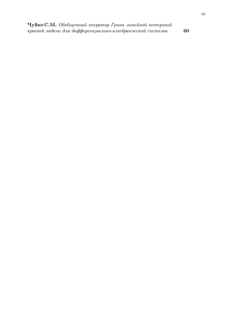**Чуйко С.М.** *Обобщенный оператор Грина линейной нетеровой краевой задачи для дифференциально-алгебраической системы* **60** 65